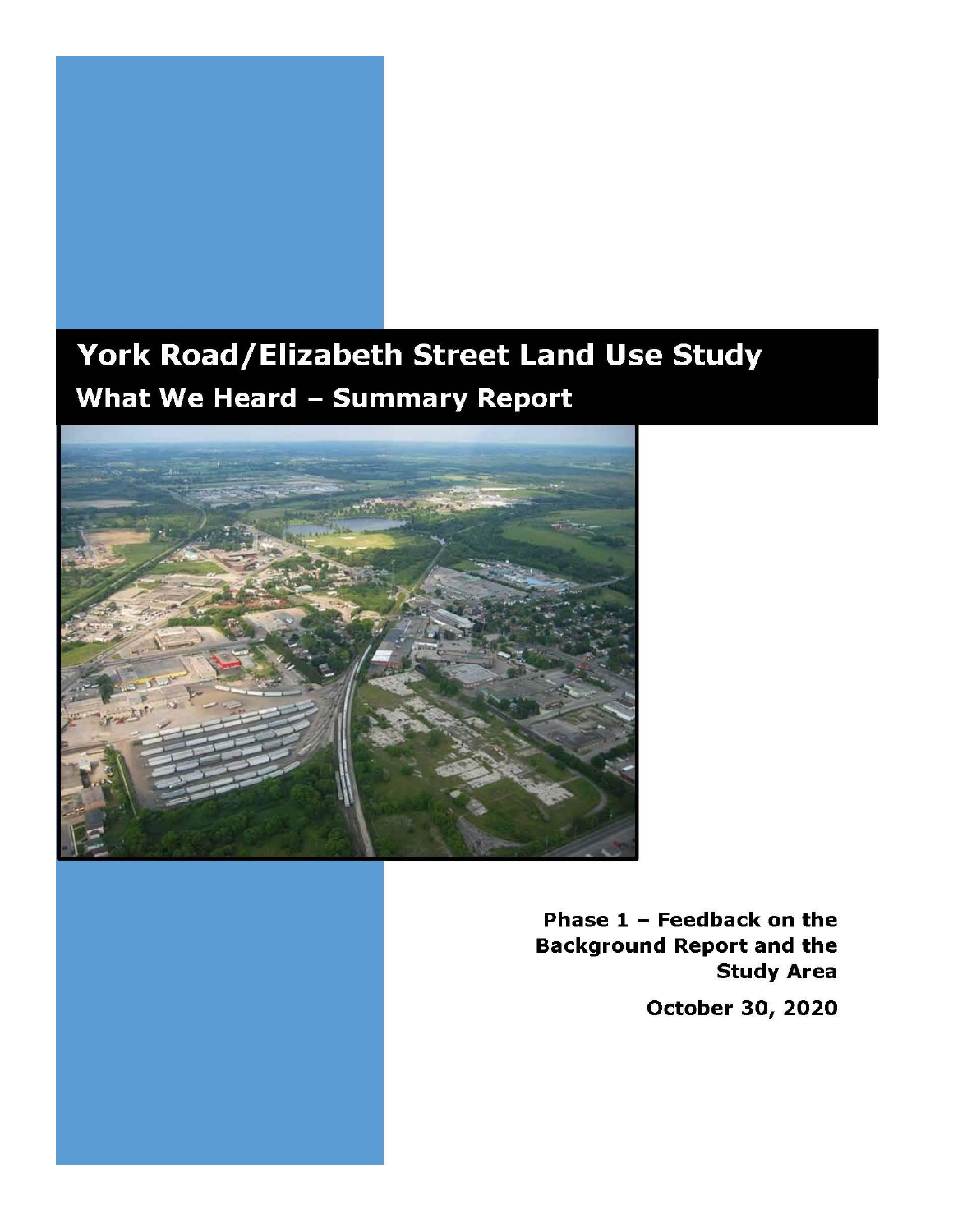

# York Road/Elizabeth Street Land Use Study **What We Heard - Summary Report**



Phase  $1$  - Feedback on the **Background Report and the Study Area** October 30, 2020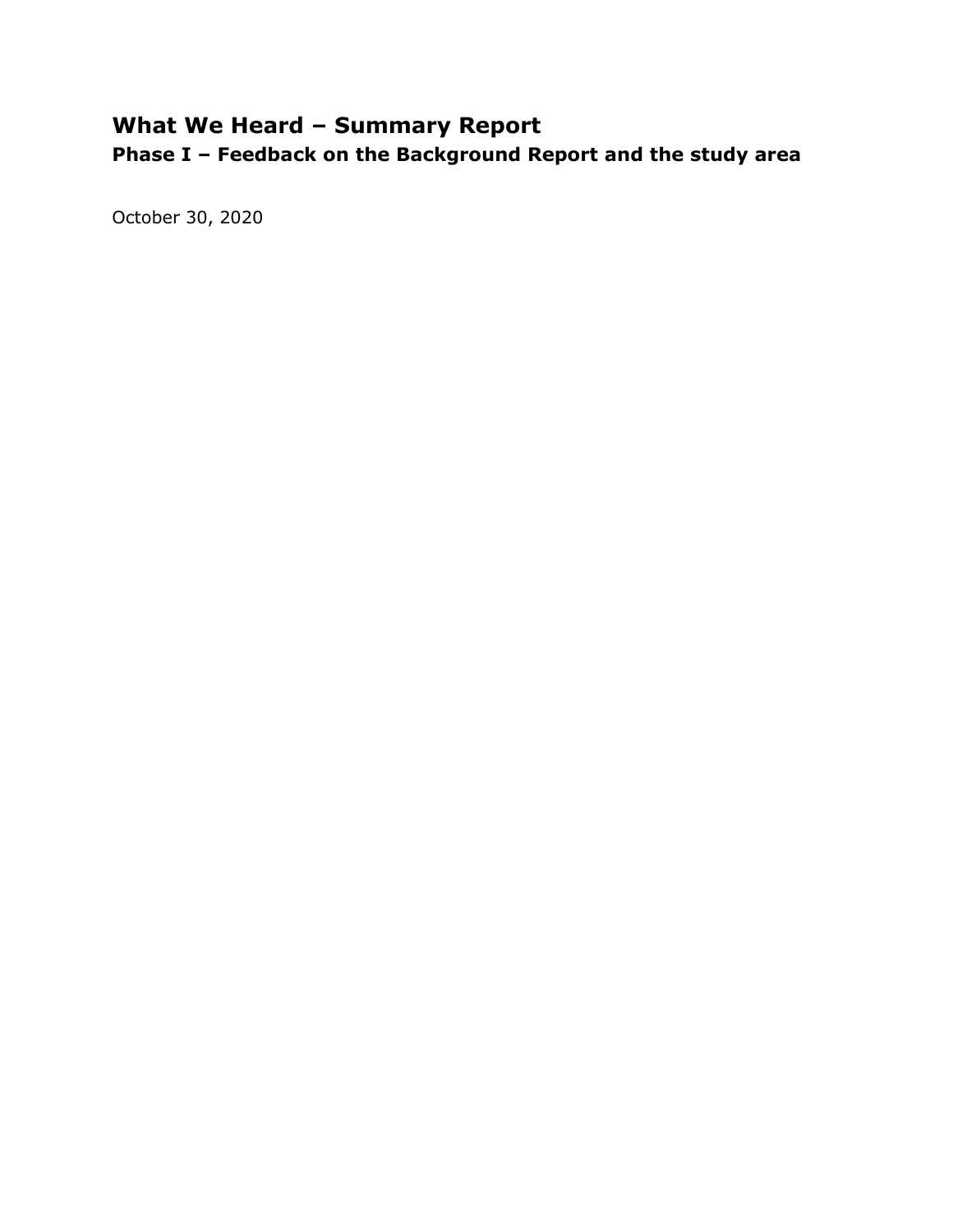# **What We Heard – Summary Report**

**Phase I – Feedback on the Background Report and the study area**

October 30, 2020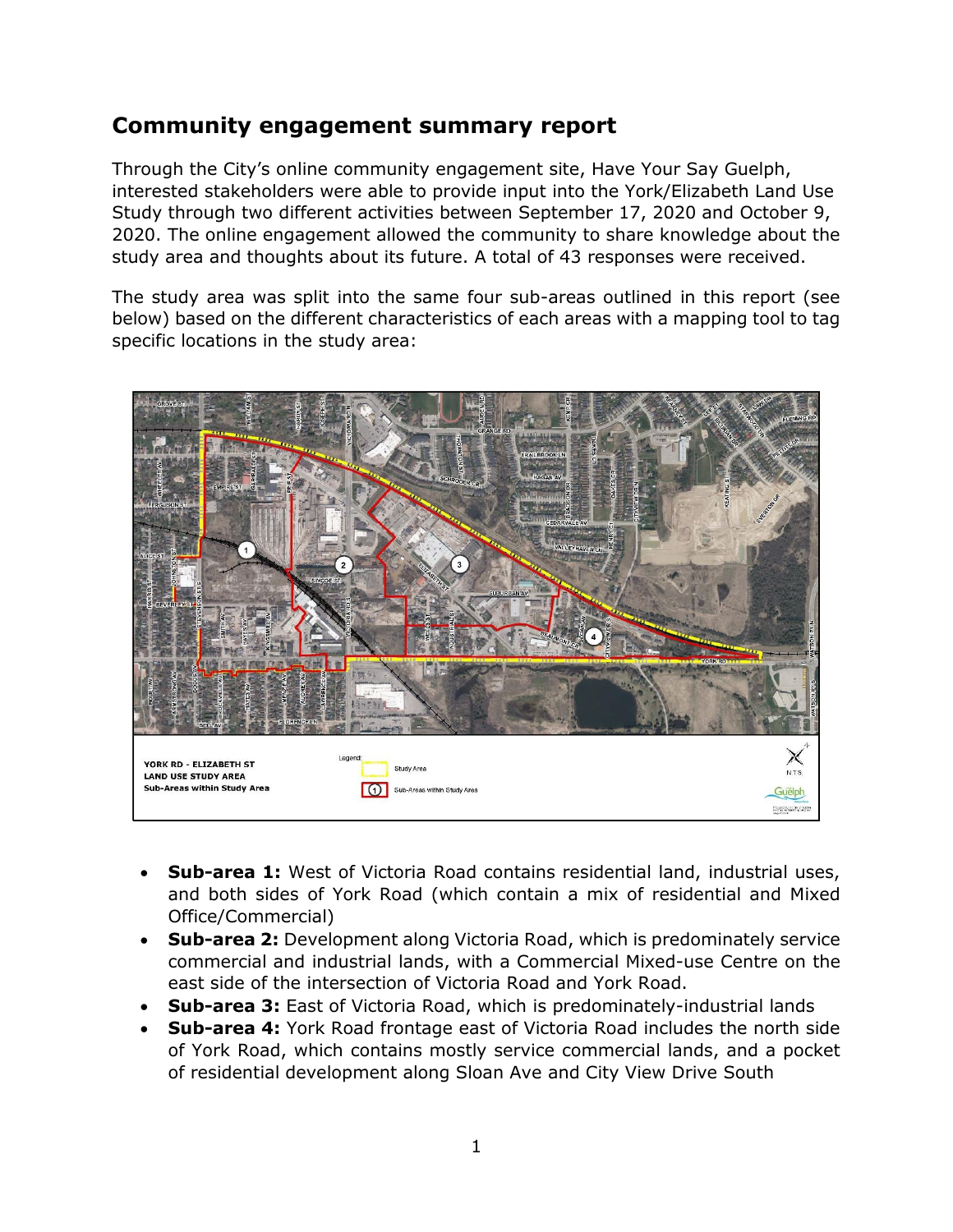# **Community engagement summary report**

Through the City's online community engagement site, Have Your Say Guelph, interested stakeholders were able to provide input into the York/Elizabeth Land Use Study through two different activities between September 17, 2020 and October 9, 2020. The online engagement allowed the community to share knowledge about the study area and thoughts about its future. A total of 43 responses were received.

The study area was split into the same four sub-areas outlined in this report (see below) based on the different characteristics of each areas with a mapping tool to tag specific locations in the study area:



- **Sub-area 1:** West of Victoria Road contains residential land, industrial uses, and both sides of York Road (which contain a mix of residential and Mixed Office/Commercial)
- **Sub-area 2:** Development along Victoria Road, which is predominately service commercial and industrial lands, with a Commercial Mixed-use Centre on the east side of the intersection of Victoria Road and York Road.
- **Sub-area 3:** East of Victoria Road, which is predominately-industrial lands
- **Sub-area 4:** York Road frontage east of Victoria Road includes the north side of York Road, which contains mostly service commercial lands, and a pocket of residential development along Sloan Ave and City View Drive South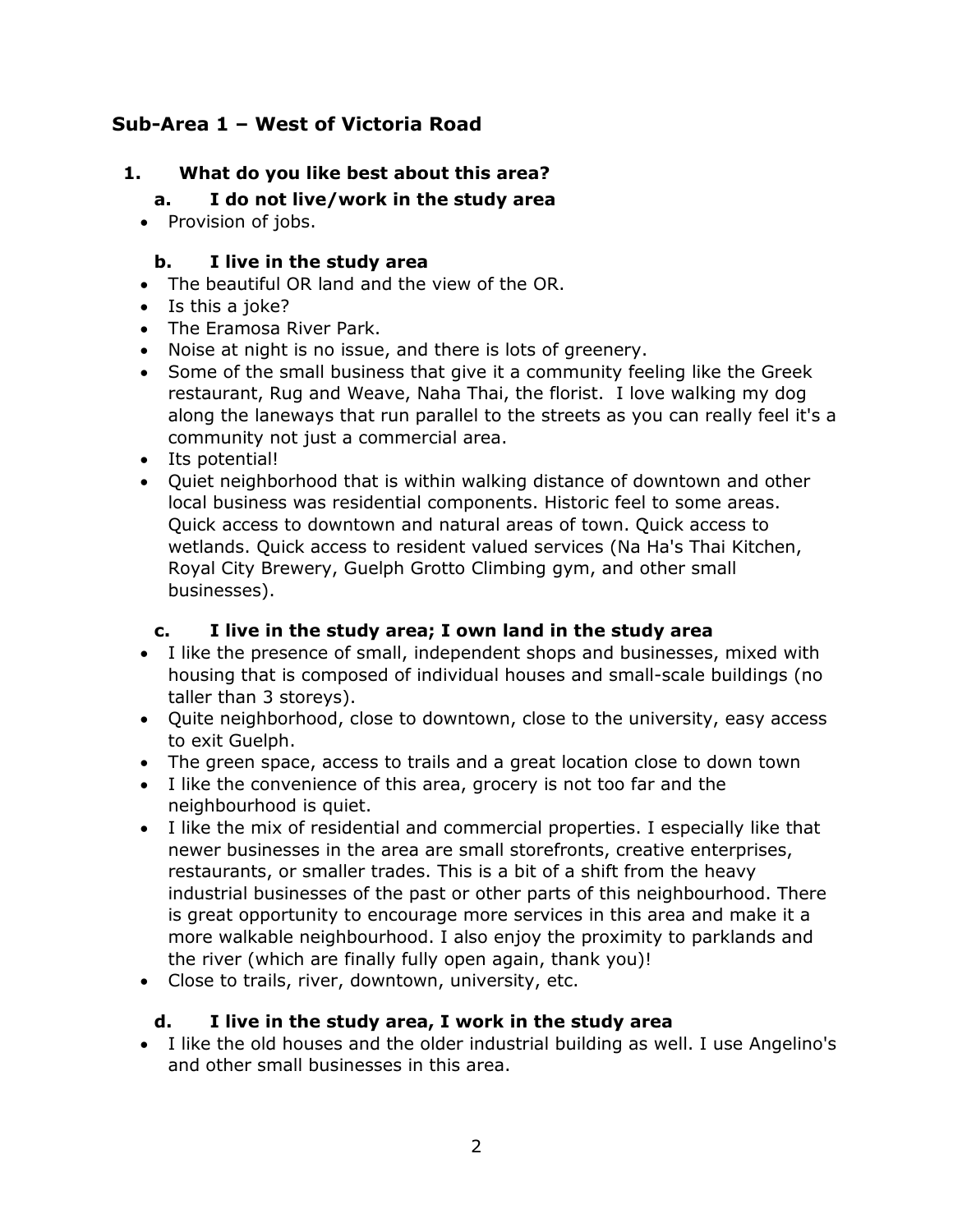# **Sub-Area 1 – West of Victoria Road**

# **1. What do you like best about this area?**

#### **a. I do not live/work in the study area**

• Provision of jobs.

#### **b. I live in the study area**

- The beautiful OR land and the view of the OR.
- Is this a joke?
- The Eramosa River Park.
- Noise at night is no issue, and there is lots of greenery.
- Some of the small business that give it a community feeling like the Greek restaurant, Rug and Weave, Naha Thai, the florist. I love walking my dog along the laneways that run parallel to the streets as you can really feel it's a community not just a commercial area.
- Its potential!
- Quiet neighborhood that is within walking distance of downtown and other local business was residential components. Historic feel to some areas. Quick access to downtown and natural areas of town. Quick access to wetlands. Quick access to resident valued services (Na Ha's Thai Kitchen, Royal City Brewery, Guelph Grotto Climbing gym, and other small businesses).

#### **c. I live in the study area; I own land in the study area**

- I like the presence of small, independent shops and businesses, mixed with housing that is composed of individual houses and small-scale buildings (no taller than 3 storeys).
- Quite neighborhood, close to downtown, close to the university, easy access to exit Guelph.
- The green space, access to trails and a great location close to down town
- I like the convenience of this area, grocery is not too far and the neighbourhood is quiet.
- I like the mix of residential and commercial properties. I especially like that newer businesses in the area are small storefronts, creative enterprises, restaurants, or smaller trades. This is a bit of a shift from the heavy industrial businesses of the past or other parts of this neighbourhood. There is great opportunity to encourage more services in this area and make it a more walkable neighbourhood. I also enjoy the proximity to parklands and the river (which are finally fully open again, thank you)!
- Close to trails, river, downtown, university, etc.

#### **d. I live in the study area, I work in the study area**

 I like the old houses and the older industrial building as well. I use Angelino's and other small businesses in this area.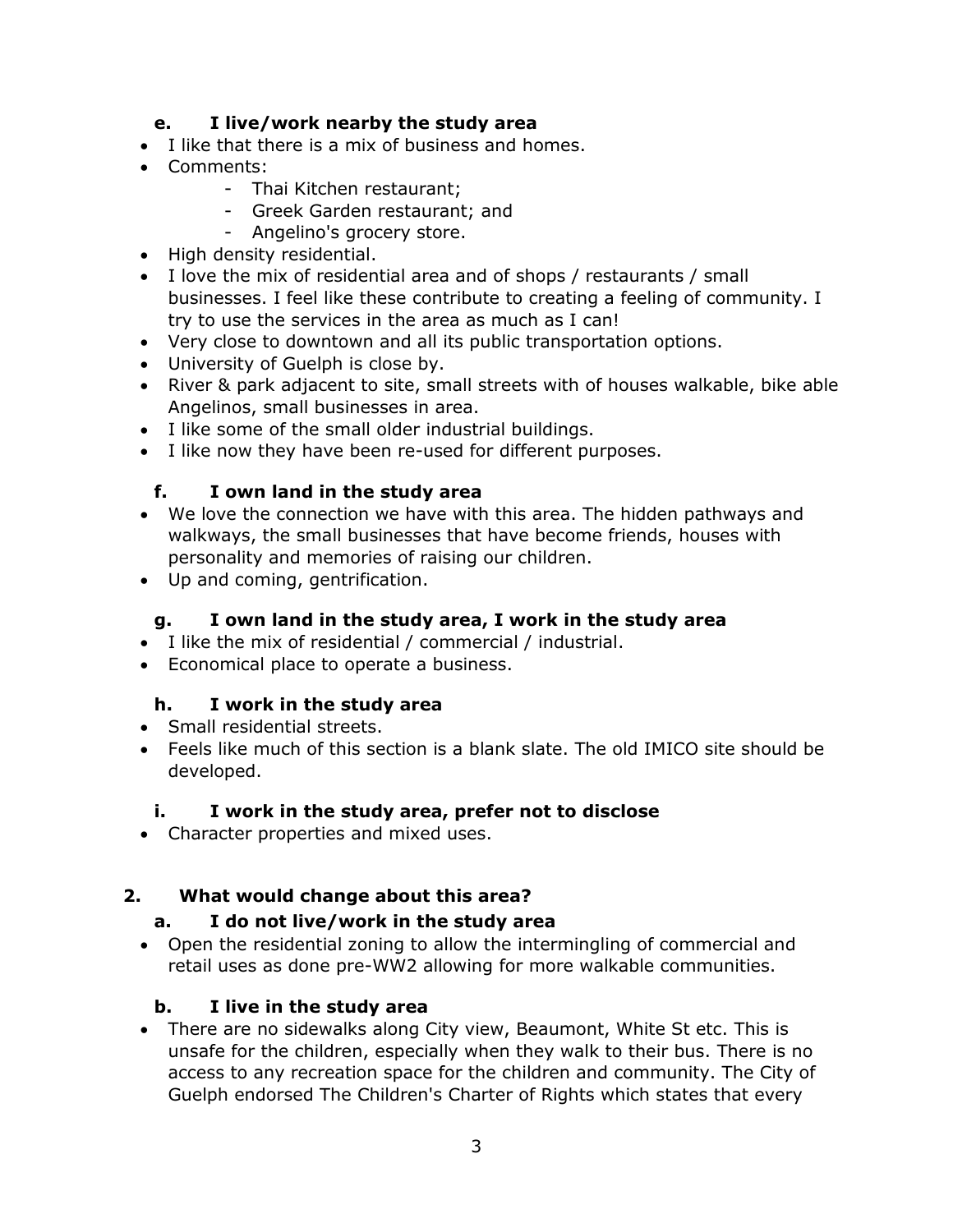#### **e. I live/work nearby the study area**

- I like that there is a mix of business and homes.
- Comments:
	- Thai Kitchen restaurant;
	- Greek Garden restaurant; and
	- Angelino's grocery store.
- High density residential.
- I love the mix of residential area and of shops / restaurants / small businesses. I feel like these contribute to creating a feeling of community. I try to use the services in the area as much as I can!
- Very close to downtown and all its public transportation options.
- University of Guelph is close by.
- River & park adjacent to site, small streets with of houses walkable, bike able Angelinos, small businesses in area.
- I like some of the small older industrial buildings.
- I like now they have been re-used for different purposes.

#### **f. I own land in the study area**

- We love the connection we have with this area. The hidden pathways and walkways, the small businesses that have become friends, houses with personality and memories of raising our children.
- Up and coming, gentrification.

#### **g. I own land in the study area, I work in the study area**

- I like the mix of residential / commercial / industrial.
- Economical place to operate a business.

#### **h. I work in the study area**

- Small residential streets.
- Feels like much of this section is a blank slate. The old IMICO site should be developed.

#### **i. I work in the study area, prefer not to disclose**

• Character properties and mixed uses.

#### **2. What would change about this area?**

#### **a. I do not live/work in the study area**

 Open the residential zoning to allow the intermingling of commercial and retail uses as done pre-WW2 allowing for more walkable communities.

#### **b. I live in the study area**

 There are no sidewalks along City view, Beaumont, White St etc. This is unsafe for the children, especially when they walk to their bus. There is no access to any recreation space for the children and community. The City of Guelph endorsed The Children's Charter of Rights which states that every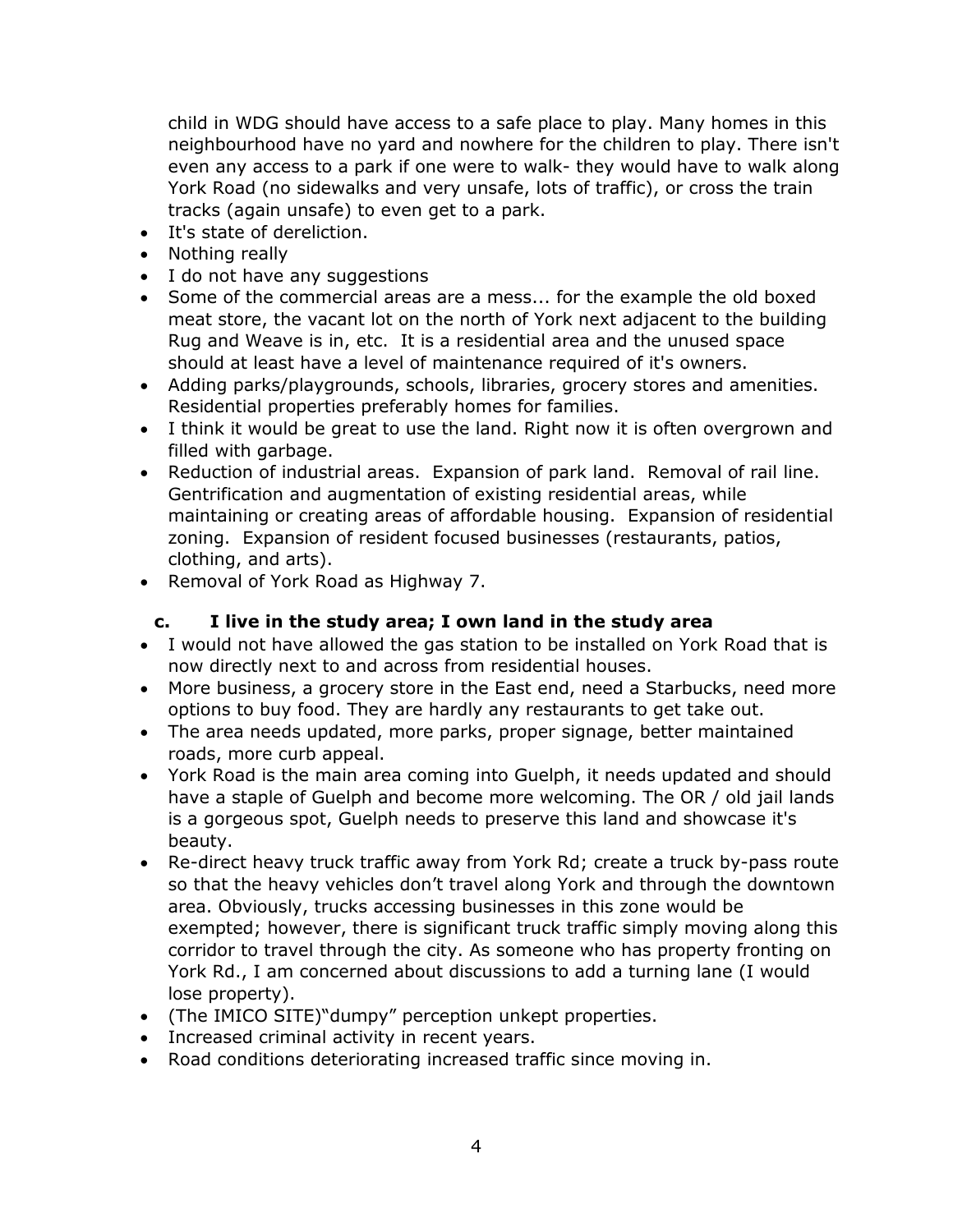child in WDG should have access to a safe place to play. Many homes in this neighbourhood have no yard and nowhere for the children to play. There isn't even any access to a park if one were to walk- they would have to walk along York Road (no sidewalks and very unsafe, lots of traffic), or cross the train tracks (again unsafe) to even get to a park.

- It's state of dereliction.
- Nothing really
- I do not have any suggestions
- Some of the commercial areas are a mess... for the example the old boxed meat store, the vacant lot on the north of York next adjacent to the building Rug and Weave is in, etc. It is a residential area and the unused space should at least have a level of maintenance required of it's owners.
- Adding parks/playgrounds, schools, libraries, grocery stores and amenities. Residential properties preferably homes for families.
- I think it would be great to use the land. Right now it is often overgrown and filled with garbage.
- Reduction of industrial areas. Expansion of park land. Removal of rail line. Gentrification and augmentation of existing residential areas, while maintaining or creating areas of affordable housing. Expansion of residential zoning. Expansion of resident focused businesses (restaurants, patios, clothing, and arts).
- Removal of York Road as Highway 7.

#### **c. I live in the study area; I own land in the study area**

- I would not have allowed the gas station to be installed on York Road that is now directly next to and across from residential houses.
- More business, a grocery store in the East end, need a Starbucks, need more options to buy food. They are hardly any restaurants to get take out.
- The area needs updated, more parks, proper signage, better maintained roads, more curb appeal.
- York Road is the main area coming into Guelph, it needs updated and should have a staple of Guelph and become more welcoming. The OR / old jail lands is a gorgeous spot, Guelph needs to preserve this land and showcase it's beauty.
- Re-direct heavy truck traffic away from York Rd; create a truck by-pass route so that the heavy vehicles don't travel along York and through the downtown area. Obviously, trucks accessing businesses in this zone would be exempted; however, there is significant truck traffic simply moving along this corridor to travel through the city. As someone who has property fronting on York Rd., I am concerned about discussions to add a turning lane (I would lose property).
- (The IMICO SITE)"dumpy" perception unkept properties.
- Increased criminal activity in recent years.
- Road conditions deteriorating increased traffic since moving in.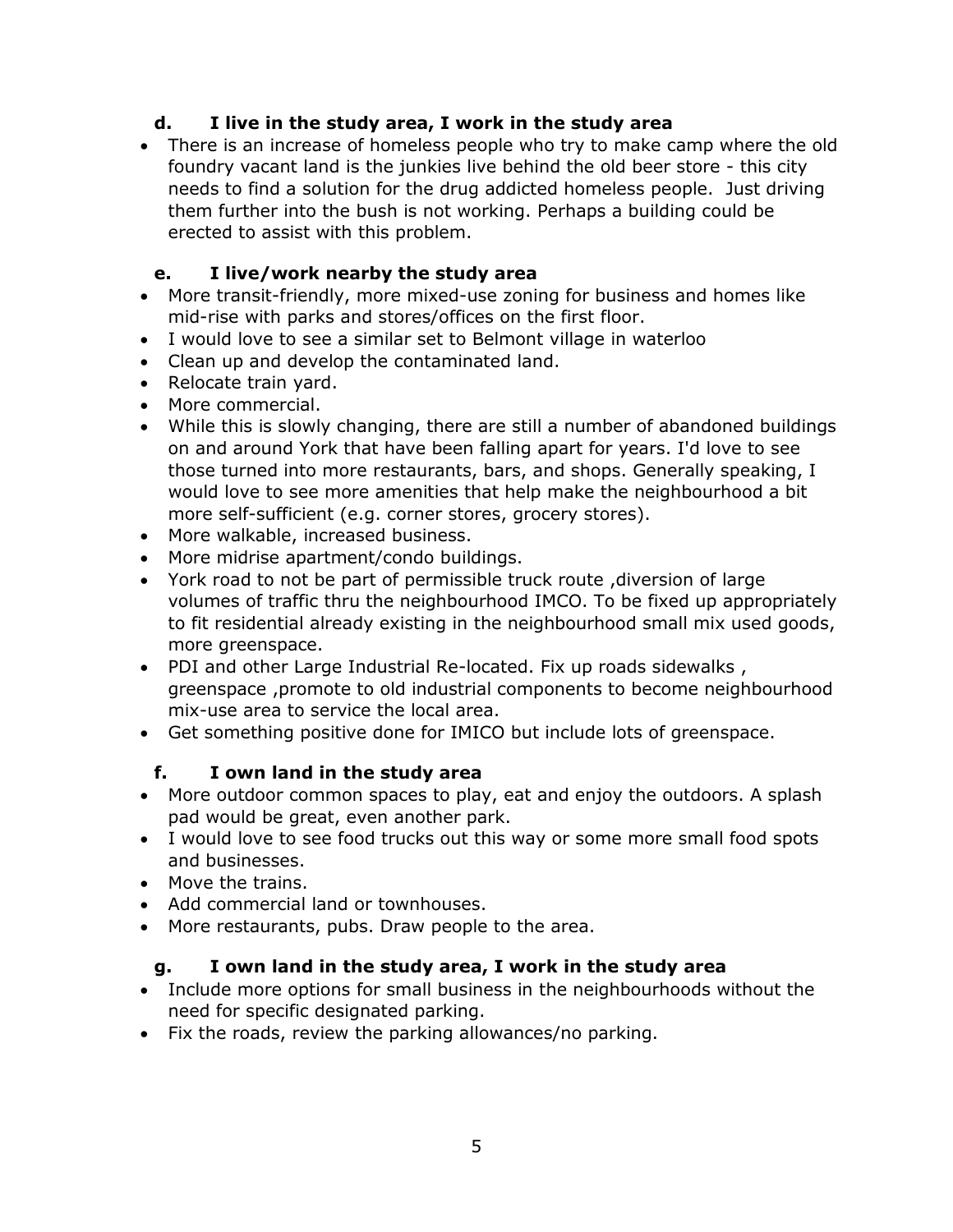#### **d. I live in the study area, I work in the study area**

 There is an increase of homeless people who try to make camp where the old foundry vacant land is the junkies live behind the old beer store - this city needs to find a solution for the drug addicted homeless people. Just driving them further into the bush is not working. Perhaps a building could be erected to assist with this problem.

## **e. I live/work nearby the study area**

- More transit-friendly, more mixed-use zoning for business and homes like mid-rise with parks and stores/offices on the first floor.
- I would love to see a similar set to Belmont village in waterloo
- Clean up and develop the contaminated land.
- Relocate train vard.
- More commercial.
- While this is slowly changing, there are still a number of abandoned buildings on and around York that have been falling apart for years. I'd love to see those turned into more restaurants, bars, and shops. Generally speaking, I would love to see more amenities that help make the neighbourhood a bit more self-sufficient (e.g. corner stores, grocery stores).
- More walkable, increased business.
- More midrise apartment/condo buildings.
- York road to not be part of permissible truck route ,diversion of large volumes of traffic thru the neighbourhood IMCO. To be fixed up appropriately to fit residential already existing in the neighbourhood small mix used goods, more greenspace.
- PDI and other Large Industrial Re-located. Fix up roads sidewalks , greenspace ,promote to old industrial components to become neighbourhood mix-use area to service the local area.
- Get something positive done for IMICO but include lots of greenspace.

#### **f. I own land in the study area**

- More outdoor common spaces to play, eat and enjoy the outdoors. A splash pad would be great, even another park.
- I would love to see food trucks out this way or some more small food spots and businesses.
- Move the trains.
- Add commercial land or townhouses.
- More restaurants, pubs. Draw people to the area.

#### **g. I own land in the study area, I work in the study area**

- Include more options for small business in the neighbourhoods without the need for specific designated parking.
- Fix the roads, review the parking allowances/no parking.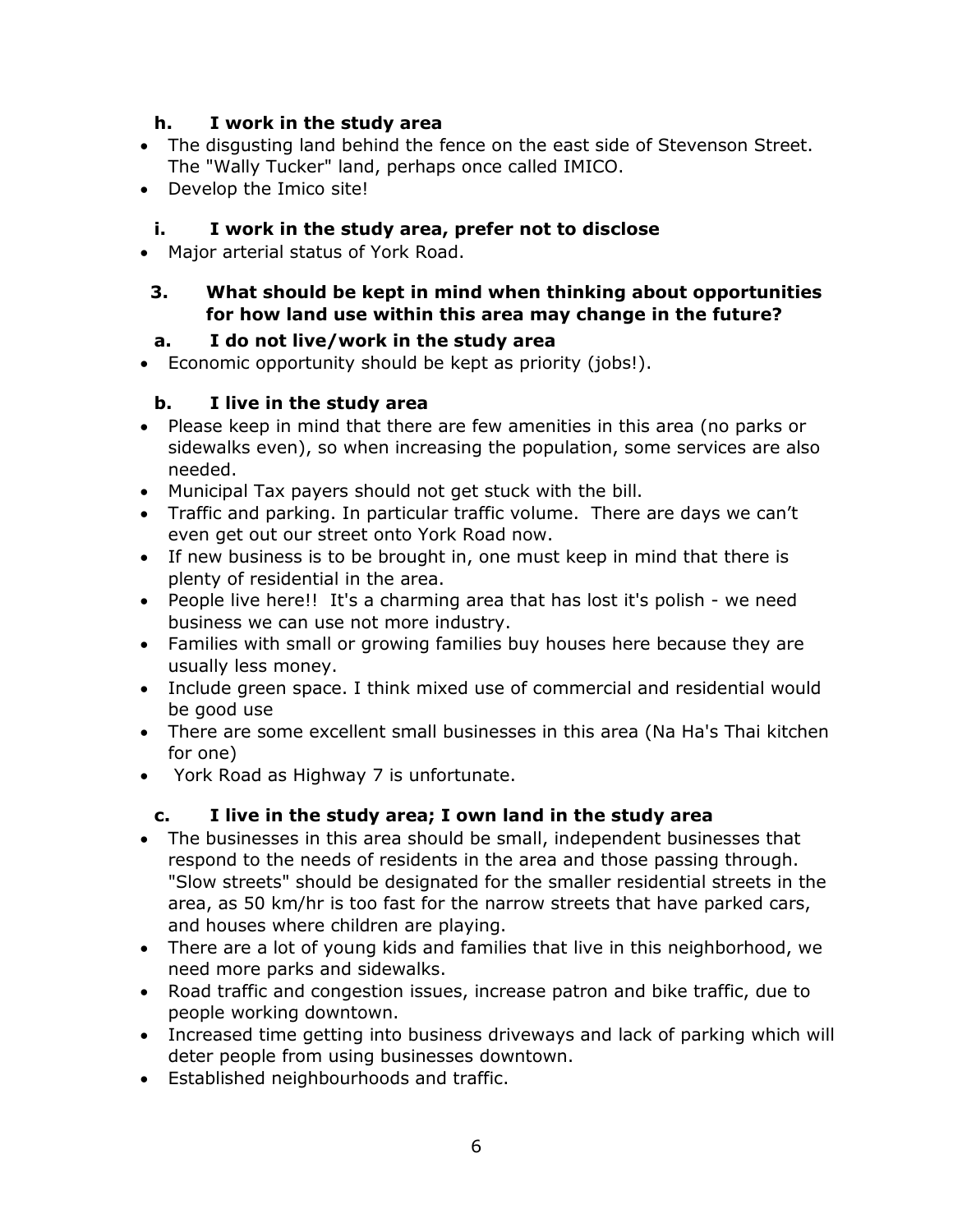#### **h. I work in the study area**

- The disgusting land behind the fence on the east side of Stevenson Street. The "Wally Tucker" land, perhaps once called IMICO.
- Develop the Imico site!

# **i. I work in the study area, prefer not to disclose**

- Major arterial status of York Road.
- **3. What should be kept in mind when thinking about opportunities for how land use within this area may change in the future?**

# **a. I do not live/work in the study area**

Economic opportunity should be kept as priority (jobs!).

## **b. I live in the study area**

- Please keep in mind that there are few amenities in this area (no parks or sidewalks even), so when increasing the population, some services are also needed.
- Municipal Tax payers should not get stuck with the bill.
- Traffic and parking. In particular traffic volume. There are days we can't even get out our street onto York Road now.
- If new business is to be brought in, one must keep in mind that there is plenty of residential in the area.
- People live here!! It's a charming area that has lost it's polish we need business we can use not more industry.
- Families with small or growing families buy houses here because they are usually less money.
- Include green space. I think mixed use of commercial and residential would be good use
- There are some excellent small businesses in this area (Na Ha's Thai kitchen for one)
- York Road as Highway 7 is unfortunate.

# **c. I live in the study area; I own land in the study area**

- The businesses in this area should be small, independent businesses that respond to the needs of residents in the area and those passing through. "Slow streets" should be designated for the smaller residential streets in the area, as 50 km/hr is too fast for the narrow streets that have parked cars, and houses where children are playing.
- There are a lot of young kids and families that live in this neighborhood, we need more parks and sidewalks.
- Road traffic and congestion issues, increase patron and bike traffic, due to people working downtown.
- Increased time getting into business driveways and lack of parking which will deter people from using businesses downtown.
- Established neighbourhoods and traffic.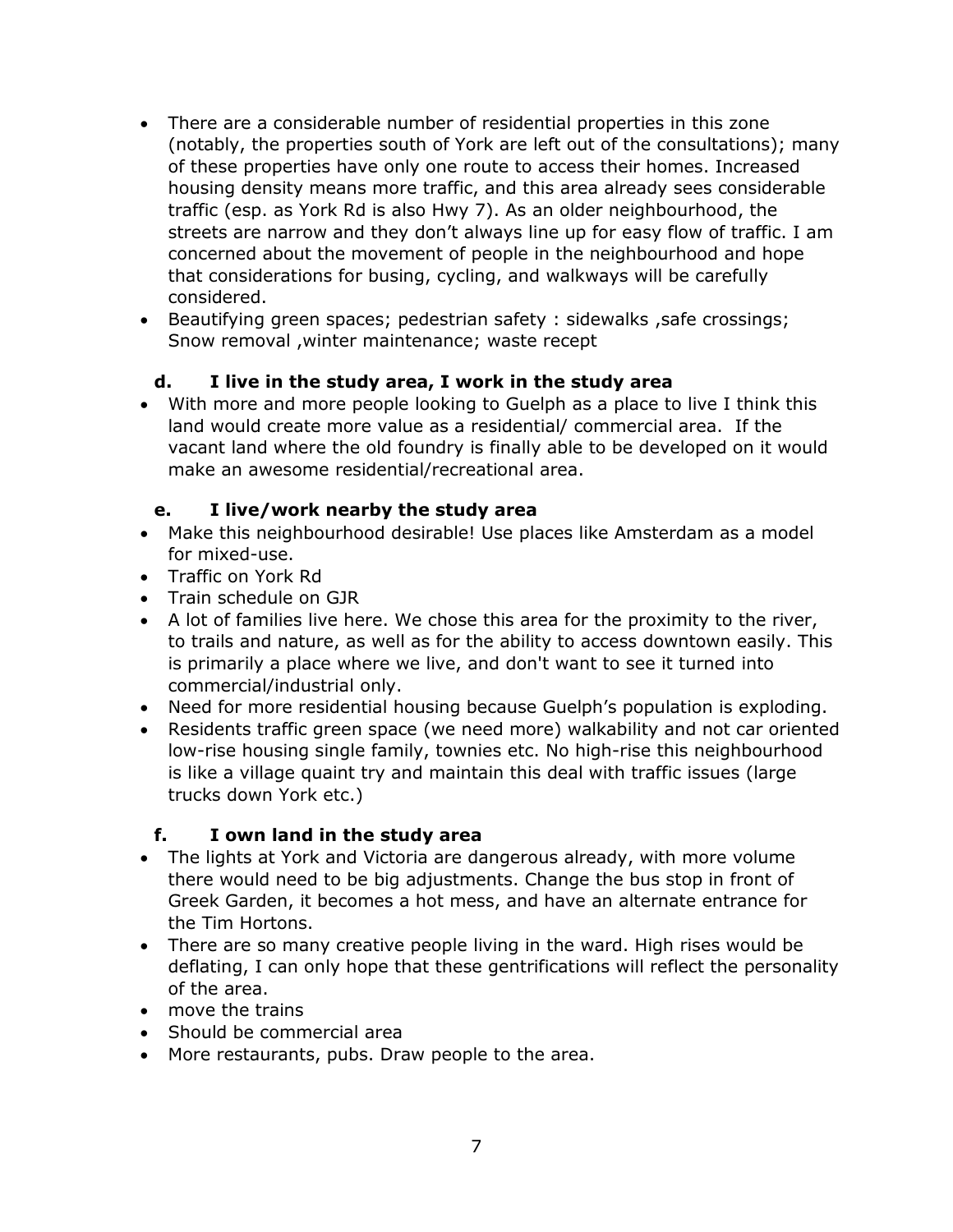- There are a considerable number of residential properties in this zone (notably, the properties south of York are left out of the consultations); many of these properties have only one route to access their homes. Increased housing density means more traffic, and this area already sees considerable traffic (esp. as York Rd is also Hwy 7). As an older neighbourhood, the streets are narrow and they don't always line up for easy flow of traffic. I am concerned about the movement of people in the neighbourhood and hope that considerations for busing, cycling, and walkways will be carefully considered.
- Beautifying green spaces; pedestrian safety : sidewalks ,safe crossings; Snow removal ,winter maintenance; waste recept

## **d. I live in the study area, I work in the study area**

 With more and more people looking to Guelph as a place to live I think this land would create more value as a residential/ commercial area. If the vacant land where the old foundry is finally able to be developed on it would make an awesome residential/recreational area.

#### **e. I live/work nearby the study area**

- Make this neighbourhood desirable! Use places like Amsterdam as a model for mixed-use.
- Traffic on York Rd
- Train schedule on GJR
- A lot of families live here. We chose this area for the proximity to the river, to trails and nature, as well as for the ability to access downtown easily. This is primarily a place where we live, and don't want to see it turned into commercial/industrial only.
- Need for more residential housing because Guelph's population is exploding.
- Residents traffic green space (we need more) walkability and not car oriented low-rise housing single family, townies etc. No high-rise this neighbourhood is like a village quaint try and maintain this deal with traffic issues (large trucks down York etc.)

#### **f. I own land in the study area**

- The lights at York and Victoria are dangerous already, with more volume there would need to be big adjustments. Change the bus stop in front of Greek Garden, it becomes a hot mess, and have an alternate entrance for the Tim Hortons.
- There are so many creative people living in the ward. High rises would be deflating, I can only hope that these gentrifications will reflect the personality of the area.
- move the trains
- Should be commercial area
- More restaurants, pubs. Draw people to the area.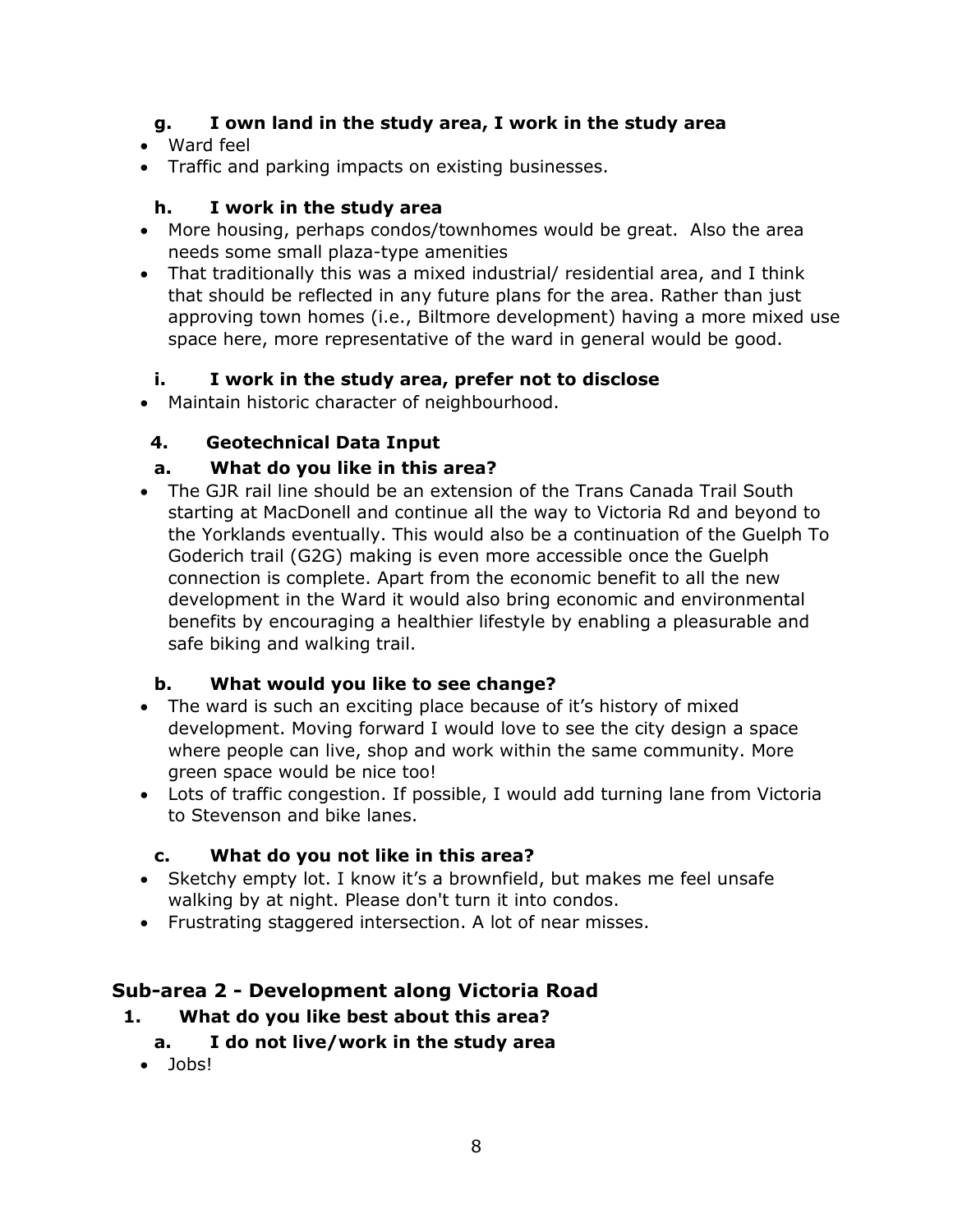#### **g. I own land in the study area, I work in the study area**

- Ward feel
- Traffic and parking impacts on existing businesses.

## **h. I work in the study area**

- More housing, perhaps condos/townhomes would be great. Also the area needs some small plaza-type amenities
- That traditionally this was a mixed industrial/ residential area, and I think that should be reflected in any future plans for the area. Rather than just approving town homes (i.e., Biltmore development) having a more mixed use space here, more representative of the ward in general would be good.

# **i. I work in the study area, prefer not to disclose**

Maintain historic character of neighbourhood.

# **4. Geotechnical Data Input**

## **a. What do you like in this area?**

 The GJR rail line should be an extension of the Trans Canada Trail South starting at MacDonell and continue all the way to Victoria Rd and beyond to the Yorklands eventually. This would also be a continuation of the Guelph To Goderich trail (G2G) making is even more accessible once the Guelph connection is complete. Apart from the economic benefit to all the new development in the Ward it would also bring economic and environmental benefits by encouraging a healthier lifestyle by enabling a pleasurable and safe biking and walking trail.

#### **b. What would you like to see change?**

- The ward is such an exciting place because of it's history of mixed development. Moving forward I would love to see the city design a space where people can live, shop and work within the same community. More green space would be nice too!
- Lots of traffic congestion. If possible, I would add turning lane from Victoria to Stevenson and bike lanes.

# **c. What do you not like in this area?**

- Sketchy empty lot. I know it's a brownfield, but makes me feel unsafe walking by at night. Please don't turn it into condos.
- Frustrating staggered intersection. A lot of near misses.

# **Sub-area 2 - Development along Victoria Road**

- **1. What do you like best about this area?**
	- **a. I do not live/work in the study area**
	- Jobs!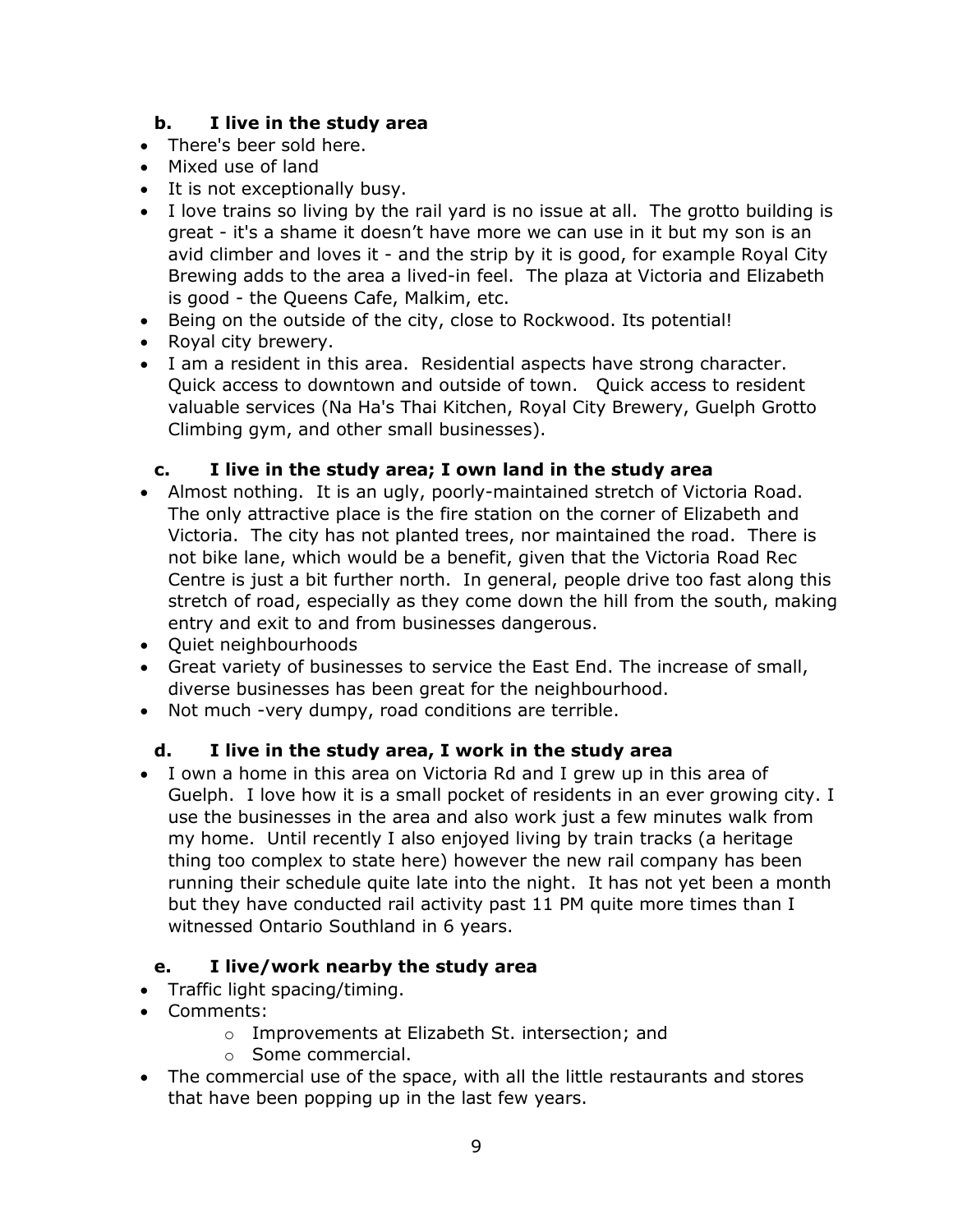#### **b. I live in the study area**

- There's beer sold here.
- Mixed use of land
- It is not exceptionally busy.
- I love trains so living by the rail yard is no issue at all. The grotto building is great - it's a shame it doesn't have more we can use in it but my son is an avid climber and loves it - and the strip by it is good, for example Royal City Brewing adds to the area a lived-in feel. The plaza at Victoria and Elizabeth is good - the Queens Cafe, Malkim, etc.
- Being on the outside of the city, close to Rockwood. Its potential!
- Royal city brewery.
- I am a resident in this area. Residential aspects have strong character. Quick access to downtown and outside of town. Quick access to resident valuable services (Na Ha's Thai Kitchen, Royal City Brewery, Guelph Grotto Climbing gym, and other small businesses).

#### **c. I live in the study area; I own land in the study area**

- Almost nothing. It is an ugly, poorly-maintained stretch of Victoria Road. The only attractive place is the fire station on the corner of Elizabeth and Victoria. The city has not planted trees, nor maintained the road. There is not bike lane, which would be a benefit, given that the Victoria Road Rec Centre is just a bit further north. In general, people drive too fast along this stretch of road, especially as they come down the hill from the south, making entry and exit to and from businesses dangerous.
- Ouiet neighbourhoods
- Great variety of businesses to service the East End. The increase of small, diverse businesses has been great for the neighbourhood.
- Not much -very dumpy, road conditions are terrible.

#### **d. I live in the study area, I work in the study area**

 I own a home in this area on Victoria Rd and I grew up in this area of Guelph. I love how it is a small pocket of residents in an ever growing city. I use the businesses in the area and also work just a few minutes walk from my home. Until recently I also enjoyed living by train tracks (a heritage thing too complex to state here) however the new rail company has been running their schedule quite late into the night. It has not yet been a month but they have conducted rail activity past 11 PM quite more times than I witnessed Ontario Southland in 6 years.

#### **e. I live/work nearby the study area**

- Traffic light spacing/timing.
- Comments:
	- o Improvements at Elizabeth St. intersection; and
	- o Some commercial.
- The commercial use of the space, with all the little restaurants and stores that have been popping up in the last few years.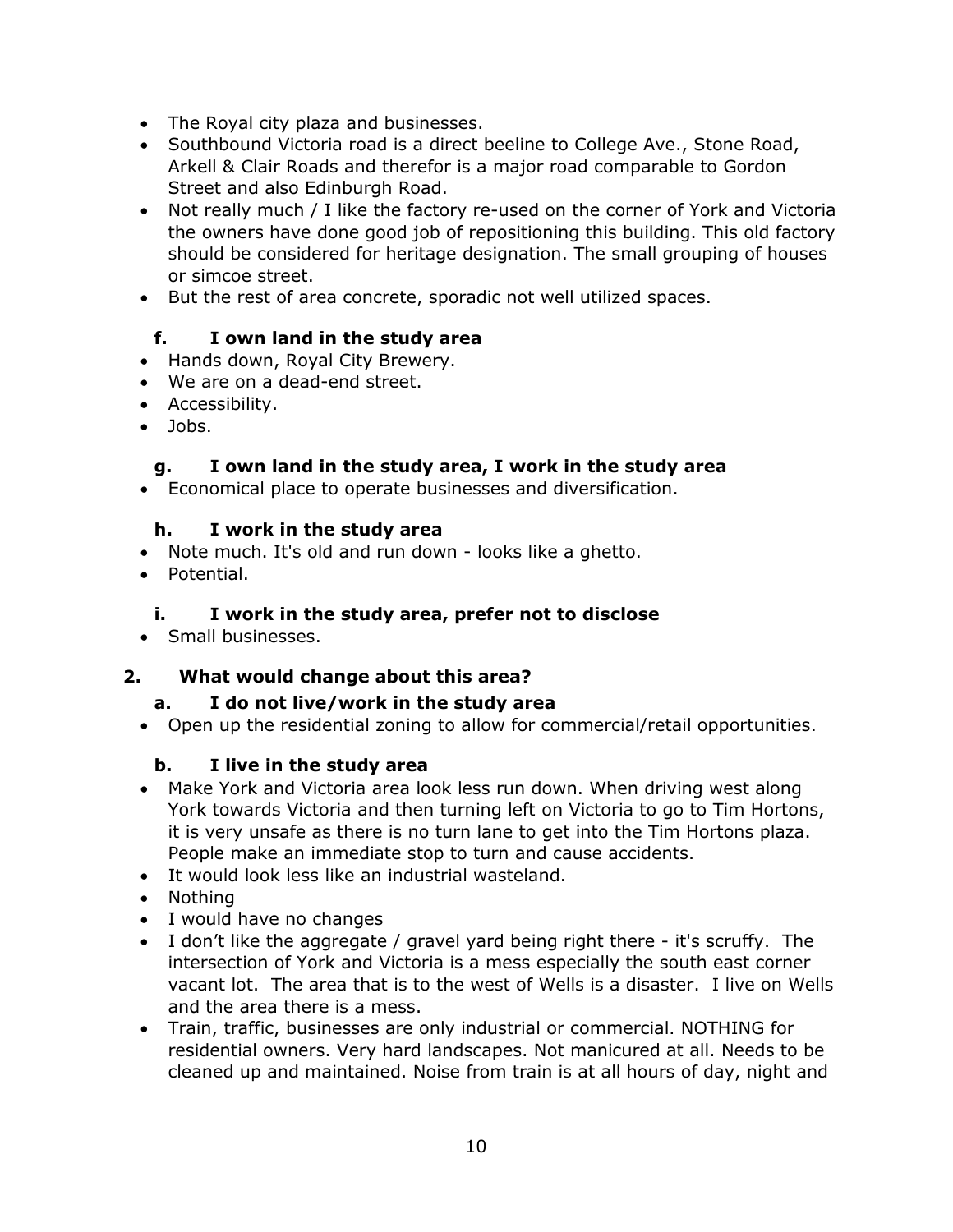- The Royal city plaza and businesses.
- Southbound Victoria road is a direct beeline to College Ave., Stone Road, Arkell & Clair Roads and therefor is a major road comparable to Gordon Street and also Edinburgh Road.
- Not really much / I like the factory re-used on the corner of York and Victoria the owners have done good job of repositioning this building. This old factory should be considered for heritage designation. The small grouping of houses or simcoe street.
- But the rest of area concrete, sporadic not well utilized spaces.

#### **f. I own land in the study area**

- Hands down, Royal City Brewery.
- We are on a dead-end street.
- Accessibility.
- Jobs.

#### **g. I own land in the study area, I work in the study area**

Economical place to operate businesses and diversification.

#### **h. I work in the study area**

- Note much. It's old and run down looks like a ghetto.
- Potential.

#### **i. I work in the study area, prefer not to disclose**

• Small businesses.

#### **2. What would change about this area?**

#### **a. I do not live/work in the study area**

Open up the residential zoning to allow for commercial/retail opportunities.

#### **b. I live in the study area**

- Make York and Victoria area look less run down. When driving west along York towards Victoria and then turning left on Victoria to go to Tim Hortons, it is very unsafe as there is no turn lane to get into the Tim Hortons plaza. People make an immediate stop to turn and cause accidents.
- It would look less like an industrial wasteland.
- Nothina
- I would have no changes
- I don't like the aggregate / gravel yard being right there it's scruffy. The intersection of York and Victoria is a mess especially the south east corner vacant lot. The area that is to the west of Wells is a disaster. I live on Wells and the area there is a mess.
- Train, traffic, businesses are only industrial or commercial. NOTHING for residential owners. Very hard landscapes. Not manicured at all. Needs to be cleaned up and maintained. Noise from train is at all hours of day, night and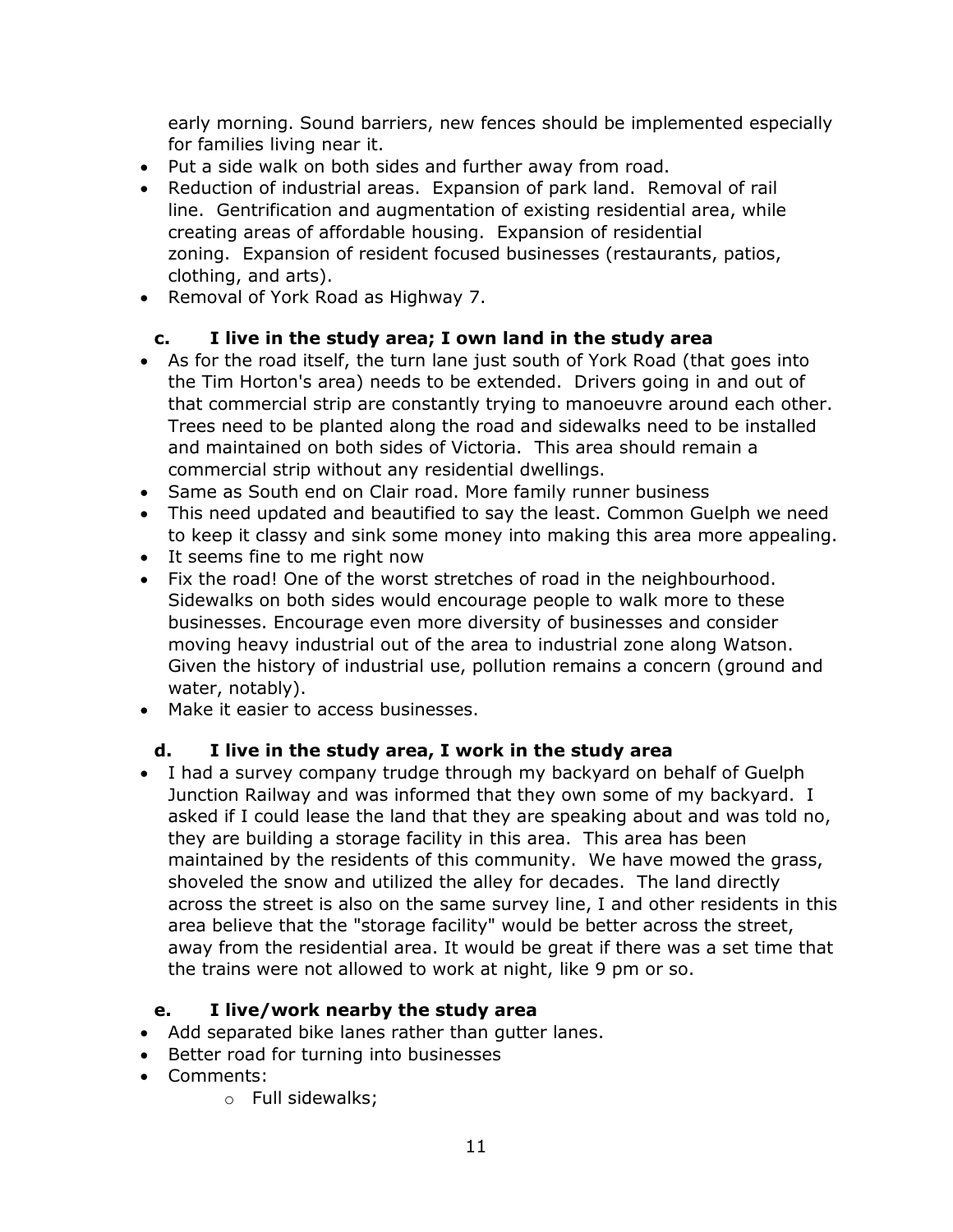early morning. Sound barriers, new fences should be implemented especially for families living near it.

- Put a side walk on both sides and further away from road.
- Reduction of industrial areas. Expansion of park land. Removal of rail line. Gentrification and augmentation of existing residential area, while creating areas of affordable housing. Expansion of residential zoning. Expansion of resident focused businesses (restaurants, patios, clothing, and arts).
- Removal of York Road as Highway 7.

#### **c. I live in the study area; I own land in the study area**

- As for the road itself, the turn lane just south of York Road (that goes into the Tim Horton's area) needs to be extended. Drivers going in and out of that commercial strip are constantly trying to manoeuvre around each other. Trees need to be planted along the road and sidewalks need to be installed and maintained on both sides of Victoria. This area should remain a commercial strip without any residential dwellings.
- Same as South end on Clair road. More family runner business
- This need updated and beautified to say the least. Common Guelph we need to keep it classy and sink some money into making this area more appealing.
- It seems fine to me right now
- Fix the road! One of the worst stretches of road in the neighbourhood. Sidewalks on both sides would encourage people to walk more to these businesses. Encourage even more diversity of businesses and consider moving heavy industrial out of the area to industrial zone along Watson. Given the history of industrial use, pollution remains a concern (ground and water, notably).
- Make it easier to access businesses.

#### **d. I live in the study area, I work in the study area**

 I had a survey company trudge through my backyard on behalf of Guelph Junction Railway and was informed that they own some of my backyard. I asked if I could lease the land that they are speaking about and was told no, they are building a storage facility in this area. This area has been maintained by the residents of this community. We have mowed the grass, shoveled the snow and utilized the alley for decades. The land directly across the street is also on the same survey line, I and other residents in this area believe that the "storage facility" would be better across the street, away from the residential area. It would be great if there was a set time that the trains were not allowed to work at night, like 9 pm or so.

#### **e. I live/work nearby the study area**

- Add separated bike lanes rather than gutter lanes.
- Better road for turning into businesses
- Comments:
	- o Full sidewalks;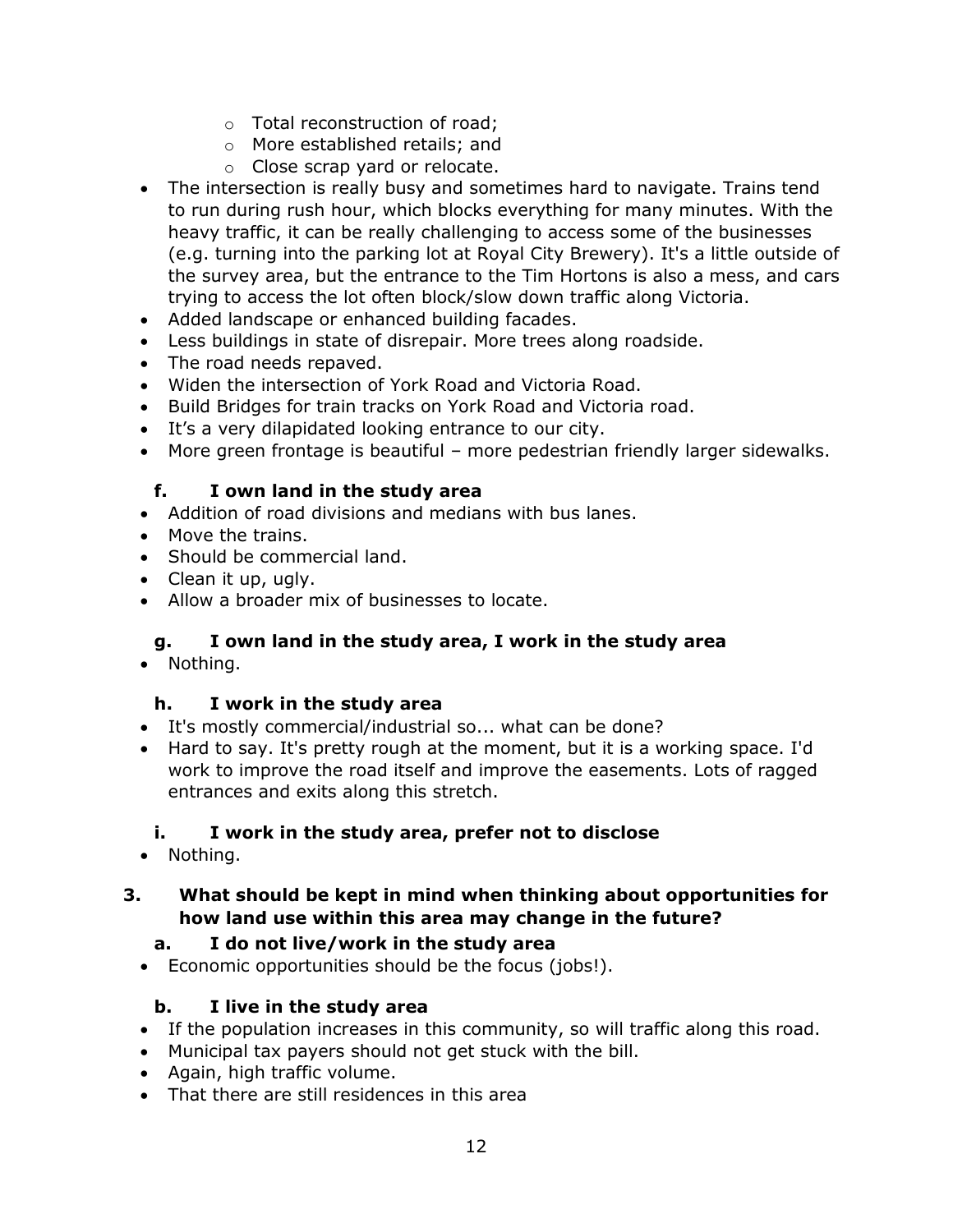- o Total reconstruction of road;
- o More established retails; and
- o Close scrap yard or relocate.
- The intersection is really busy and sometimes hard to navigate. Trains tend to run during rush hour, which blocks everything for many minutes. With the heavy traffic, it can be really challenging to access some of the businesses (e.g. turning into the parking lot at Royal City Brewery). It's a little outside of the survey area, but the entrance to the Tim Hortons is also a mess, and cars trying to access the lot often block/slow down traffic along Victoria.
- Added landscape or enhanced building facades.
- Less buildings in state of disrepair. More trees along roadside.
- The road needs repaved.
- Widen the intersection of York Road and Victoria Road.
- Build Bridges for train tracks on York Road and Victoria road.
- It's a very dilapidated looking entrance to our city.
- More green frontage is beautiful more pedestrian friendly larger sidewalks.

## **f. I own land in the study area**

- Addition of road divisions and medians with bus lanes.
- Move the trains.
- Should be commercial land.
- Clean it up, ugly.
- Allow a broader mix of businesses to locate.

# **g. I own land in the study area, I work in the study area**

• Nothing.

# **h. I work in the study area**

- It's mostly commercial/industrial so... what can be done?
- Hard to say. It's pretty rough at the moment, but it is a working space. I'd work to improve the road itself and improve the easements. Lots of ragged entrances and exits along this stretch.

# **i. I work in the study area, prefer not to disclose**

• Nothing.

## **3. What should be kept in mind when thinking about opportunities for how land use within this area may change in the future?**

# **a. I do not live/work in the study area**

Economic opportunities should be the focus (jobs!).

# **b. I live in the study area**

- If the population increases in this community, so will traffic along this road.
- Municipal tax payers should not get stuck with the bill.
- Again, high traffic volume.
- That there are still residences in this area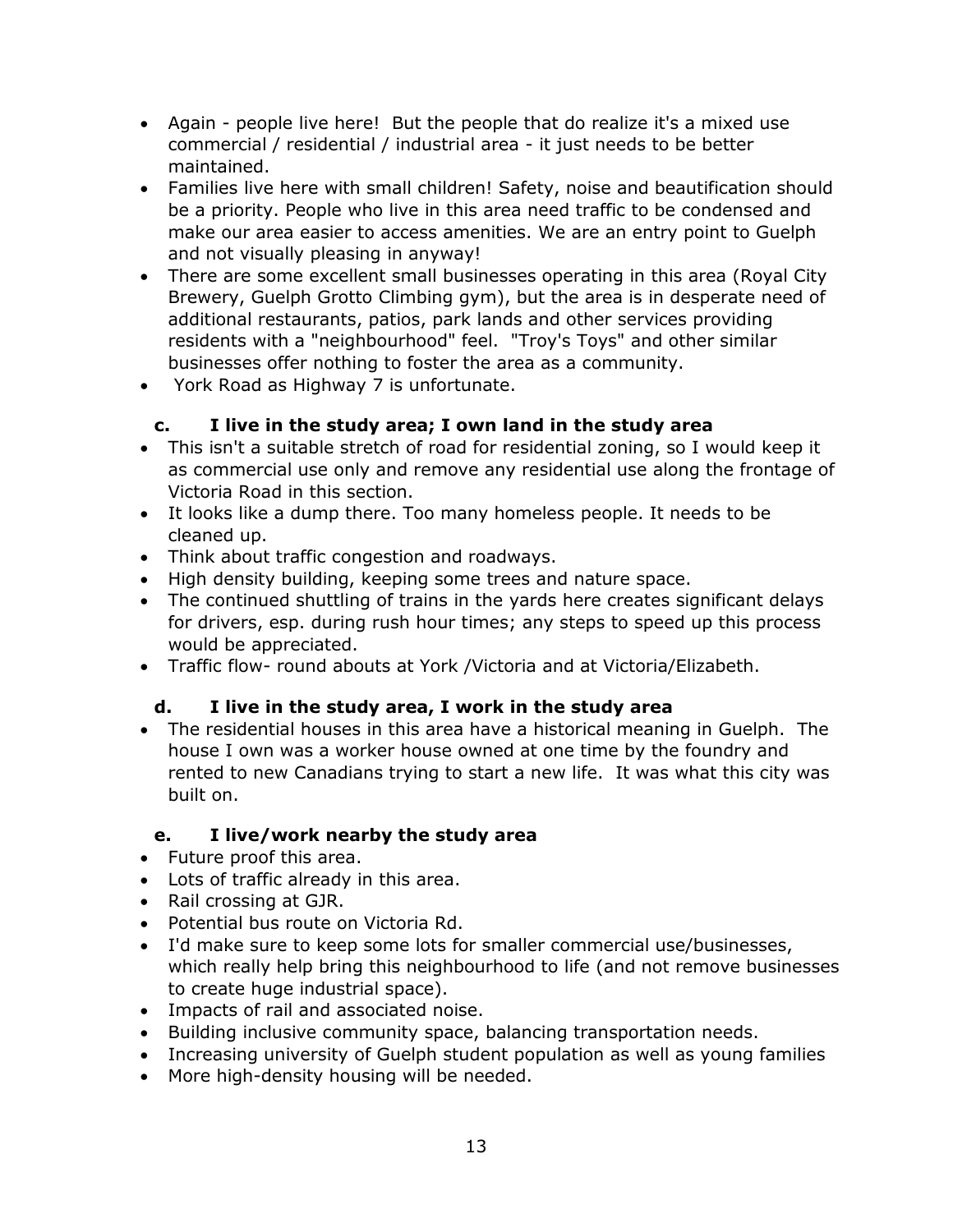- Again people live here! But the people that do realize it's a mixed use commercial / residential / industrial area - it just needs to be better maintained.
- Families live here with small children! Safety, noise and beautification should be a priority. People who live in this area need traffic to be condensed and make our area easier to access amenities. We are an entry point to Guelph and not visually pleasing in anyway!
- There are some excellent small businesses operating in this area (Royal City Brewery, Guelph Grotto Climbing gym), but the area is in desperate need of additional restaurants, patios, park lands and other services providing residents with a "neighbourhood" feel. "Troy's Toys" and other similar businesses offer nothing to foster the area as a community.
- York Road as Highway 7 is unfortunate.

## **c. I live in the study area; I own land in the study area**

- This isn't a suitable stretch of road for residential zoning, so I would keep it as commercial use only and remove any residential use along the frontage of Victoria Road in this section.
- It looks like a dump there. Too many homeless people. It needs to be cleaned up.
- Think about traffic congestion and roadways.
- High density building, keeping some trees and nature space.
- The continued shuttling of trains in the yards here creates significant delays for drivers, esp. during rush hour times; any steps to speed up this process would be appreciated.
- Traffic flow- round abouts at York /Victoria and at Victoria/Elizabeth.

#### **d. I live in the study area, I work in the study area**

 The residential houses in this area have a historical meaning in Guelph. The house I own was a worker house owned at one time by the foundry and rented to new Canadians trying to start a new life. It was what this city was built on.

#### **e. I live/work nearby the study area**

- Future proof this area.
- Lots of traffic already in this area.
- Rail crossing at GJR.
- Potential bus route on Victoria Rd.
- I'd make sure to keep some lots for smaller commercial use/businesses, which really help bring this neighbourhood to life (and not remove businesses to create huge industrial space).
- Impacts of rail and associated noise.
- Building inclusive community space, balancing transportation needs.
- Increasing university of Guelph student population as well as young families
- More high-density housing will be needed.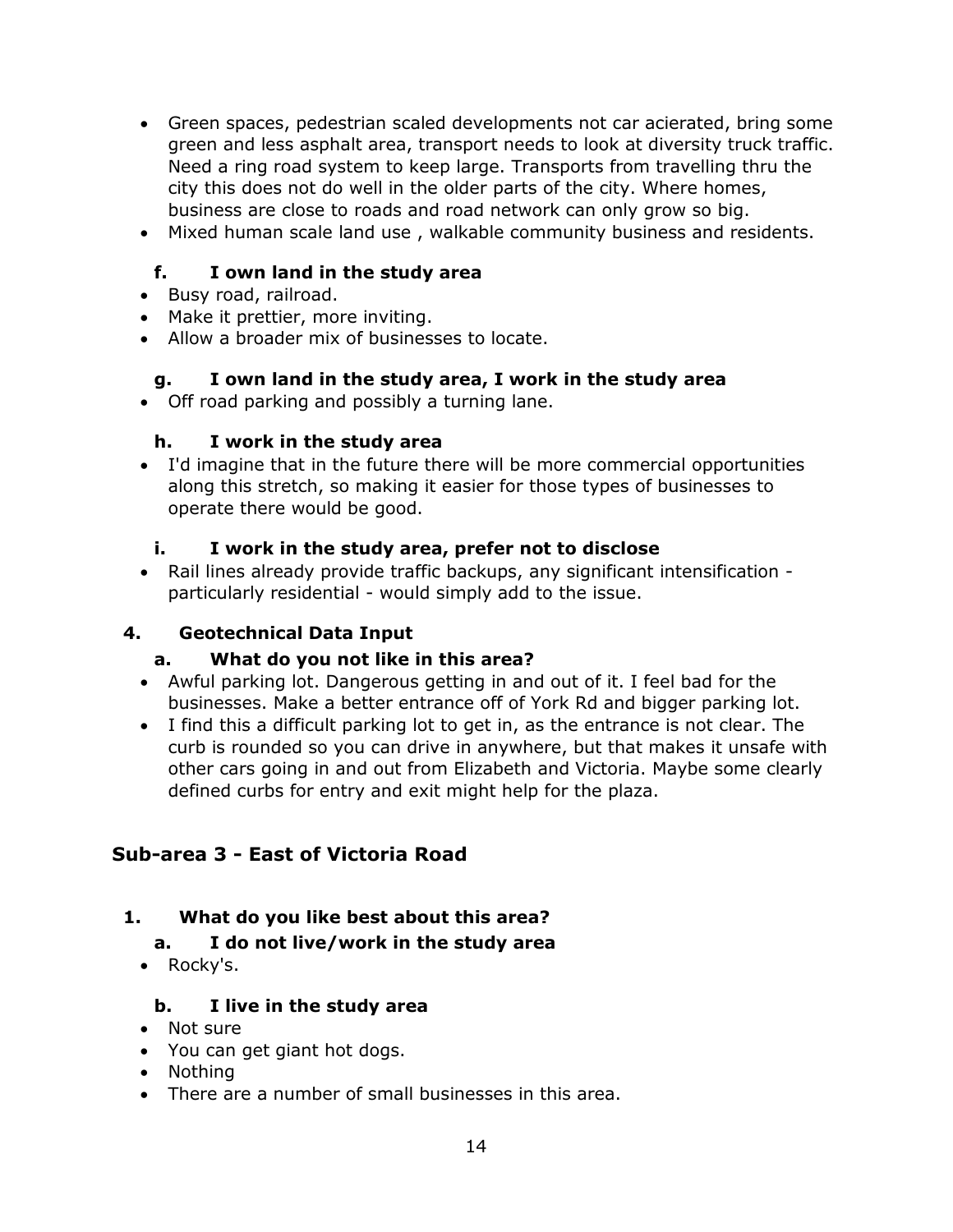- Green spaces, pedestrian scaled developments not car acierated, bring some green and less asphalt area, transport needs to look at diversity truck traffic. Need a ring road system to keep large. Transports from travelling thru the city this does not do well in the older parts of the city. Where homes, business are close to roads and road network can only grow so big.
- Mixed human scale land use , walkable community business and residents.

## **f. I own land in the study area**

- Busy road, railroad.
- Make it prettier, more inviting.
- Allow a broader mix of businesses to locate.

#### **g. I own land in the study area, I work in the study area**

Off road parking and possibly a turning lane.

#### **h. I work in the study area**

 I'd imagine that in the future there will be more commercial opportunities along this stretch, so making it easier for those types of businesses to operate there would be good.

#### **i. I work in the study area, prefer not to disclose**

 Rail lines already provide traffic backups, any significant intensification particularly residential - would simply add to the issue.

#### **4. Geotechnical Data Input**

#### **a. What do you not like in this area?**

- Awful parking lot. Dangerous getting in and out of it. I feel bad for the businesses. Make a better entrance off of York Rd and bigger parking lot.
- I find this a difficult parking lot to get in, as the entrance is not clear. The curb is rounded so you can drive in anywhere, but that makes it unsafe with other cars going in and out from Elizabeth and Victoria. Maybe some clearly defined curbs for entry and exit might help for the plaza.

# **Sub-area 3 - East of Victoria Road**

# **1. What do you like best about this area?**

#### **a. I do not live/work in the study area**

• Rocky's.

#### **b. I live in the study area**

- Not sure
- You can get giant hot dogs.
- Nothing
- There are a number of small businesses in this area.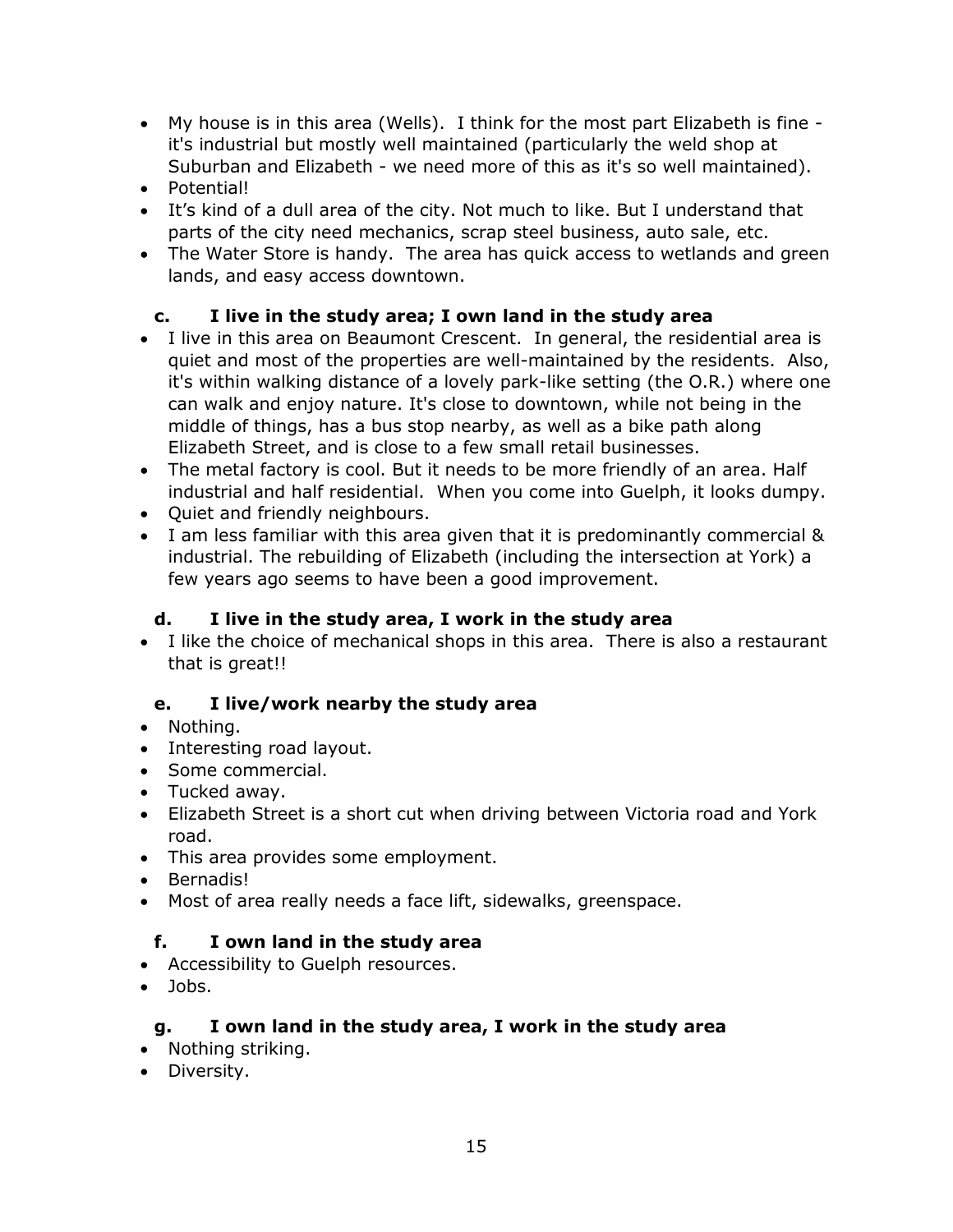- My house is in this area (Wells). I think for the most part Elizabeth is fine it's industrial but mostly well maintained (particularly the weld shop at Suburban and Elizabeth - we need more of this as it's so well maintained).
- Potential!
- It's kind of a dull area of the city. Not much to like. But I understand that parts of the city need mechanics, scrap steel business, auto sale, etc.
- The Water Store is handy. The area has quick access to wetlands and green lands, and easy access downtown.

# **c. I live in the study area; I own land in the study area**

- I live in this area on Beaumont Crescent. In general, the residential area is quiet and most of the properties are well-maintained by the residents. Also, it's within walking distance of a lovely park-like setting (the O.R.) where one can walk and enjoy nature. It's close to downtown, while not being in the middle of things, has a bus stop nearby, as well as a bike path along Elizabeth Street, and is close to a few small retail businesses.
- The metal factory is cool. But it needs to be more friendly of an area. Half industrial and half residential. When you come into Guelph, it looks dumpy.
- Quiet and friendly neighbours.
- I am less familiar with this area given that it is predominantly commercial & industrial. The rebuilding of Elizabeth (including the intersection at York) a few years ago seems to have been a good improvement.

#### **d. I live in the study area, I work in the study area**

• I like the choice of mechanical shops in this area. There is also a restaurant that is great!!

#### **e. I live/work nearby the study area**

- Nothing.
- Interesting road layout.
- Some commercial.
- Tucked away.
- Elizabeth Street is a short cut when driving between Victoria road and York road.
- This area provides some employment.
- Bernadis!
- Most of area really needs a face lift, sidewalks, greenspace.

#### **f. I own land in the study area**

- Accessibility to Guelph resources.
- Jobs.

#### **g. I own land in the study area, I work in the study area**

- Nothing striking.
- Diversity.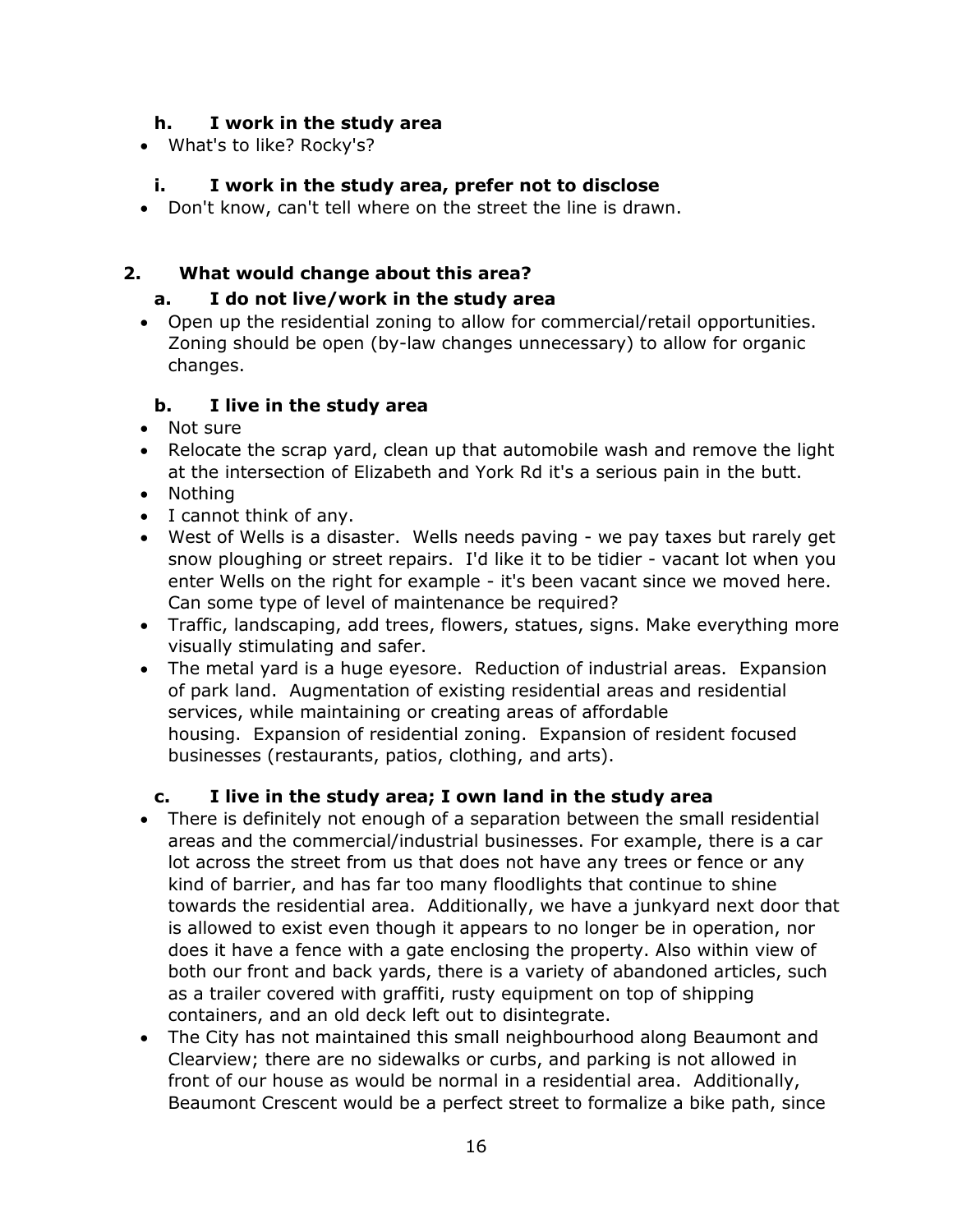#### **h. I work in the study area**

What's to like? Rocky's?

# **i. I work in the study area, prefer not to disclose**

Don't know, can't tell where on the street the line is drawn.

#### **2. What would change about this area?**

#### **a. I do not live/work in the study area**

 Open up the residential zoning to allow for commercial/retail opportunities. Zoning should be open (by-law changes unnecessary) to allow for organic changes.

#### **b. I live in the study area**

- Not sure
- Relocate the scrap yard, clean up that automobile wash and remove the light at the intersection of Elizabeth and York Rd it's a serious pain in the butt.
- Nothing
- I cannot think of any.
- West of Wells is a disaster. Wells needs paving we pay taxes but rarely get snow ploughing or street repairs. I'd like it to be tidier - vacant lot when you enter Wells on the right for example - it's been vacant since we moved here. Can some type of level of maintenance be required?
- Traffic, landscaping, add trees, flowers, statues, signs. Make everything more visually stimulating and safer.
- The metal yard is a huge eyesore. Reduction of industrial areas. Expansion of park land. Augmentation of existing residential areas and residential services, while maintaining or creating areas of affordable housing. Expansion of residential zoning. Expansion of resident focused businesses (restaurants, patios, clothing, and arts).

#### **c. I live in the study area; I own land in the study area**

- There is definitely not enough of a separation between the small residential areas and the commercial/industrial businesses. For example, there is a car lot across the street from us that does not have any trees or fence or any kind of barrier, and has far too many floodlights that continue to shine towards the residential area. Additionally, we have a junkyard next door that is allowed to exist even though it appears to no longer be in operation, nor does it have a fence with a gate enclosing the property. Also within view of both our front and back yards, there is a variety of abandoned articles, such as a trailer covered with graffiti, rusty equipment on top of shipping containers, and an old deck left out to disintegrate.
- The City has not maintained this small neighbourhood along Beaumont and Clearview; there are no sidewalks or curbs, and parking is not allowed in front of our house as would be normal in a residential area. Additionally, Beaumont Crescent would be a perfect street to formalize a bike path, since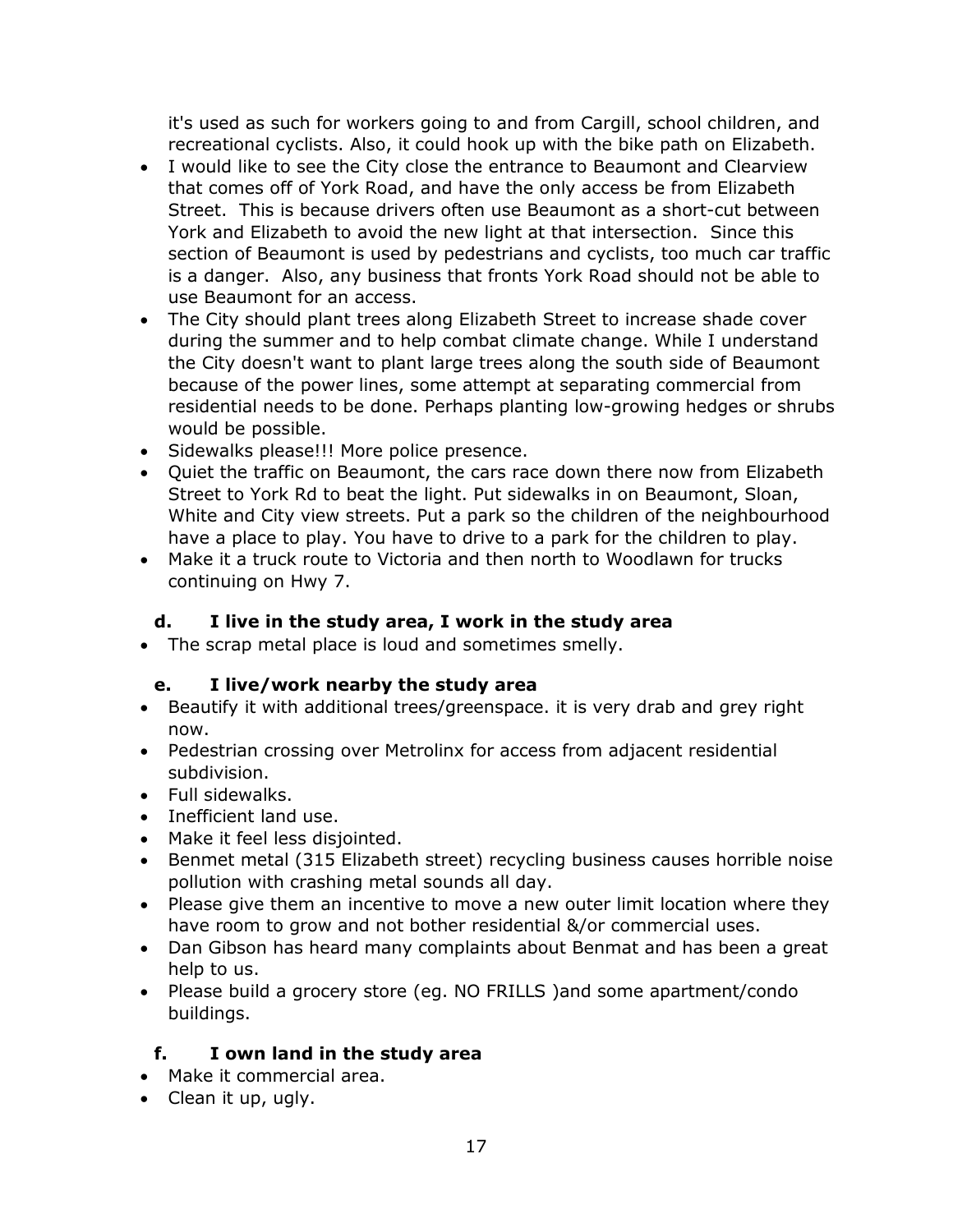it's used as such for workers going to and from Cargill, school children, and recreational cyclists. Also, it could hook up with the bike path on Elizabeth.

- I would like to see the City close the entrance to Beaumont and Clearview that comes off of York Road, and have the only access be from Elizabeth Street. This is because drivers often use Beaumont as a short-cut between York and Elizabeth to avoid the new light at that intersection. Since this section of Beaumont is used by pedestrians and cyclists, too much car traffic is a danger. Also, any business that fronts York Road should not be able to use Beaumont for an access.
- The City should plant trees along Elizabeth Street to increase shade cover during the summer and to help combat climate change. While I understand the City doesn't want to plant large trees along the south side of Beaumont because of the power lines, some attempt at separating commercial from residential needs to be done. Perhaps planting low-growing hedges or shrubs would be possible.
- Sidewalks please!!! More police presence.
- Quiet the traffic on Beaumont, the cars race down there now from Elizabeth Street to York Rd to beat the light. Put sidewalks in on Beaumont, Sloan, White and City view streets. Put a park so the children of the neighbourhood have a place to play. You have to drive to a park for the children to play.
- Make it a truck route to Victoria and then north to Woodlawn for trucks continuing on Hwy 7.

#### **d. I live in the study area, I work in the study area**

• The scrap metal place is loud and sometimes smelly.

#### **e. I live/work nearby the study area**

- Beautify it with additional trees/greenspace. it is very drab and grey right now.
- Pedestrian crossing over Metrolinx for access from adjacent residential subdivision.
- Full sidewalks.
- Inefficient land use.
- Make it feel less disjointed.
- Benmet metal (315 Elizabeth street) recycling business causes horrible noise pollution with crashing metal sounds all day.
- Please give them an incentive to move a new outer limit location where they have room to grow and not bother residential &/or commercial uses.
- Dan Gibson has heard many complaints about Benmat and has been a great help to us.
- Please build a grocery store (eg. NO FRILLS )and some apartment/condo buildings.

#### **f. I own land in the study area**

- Make it commercial area.
- Clean it up, ugly.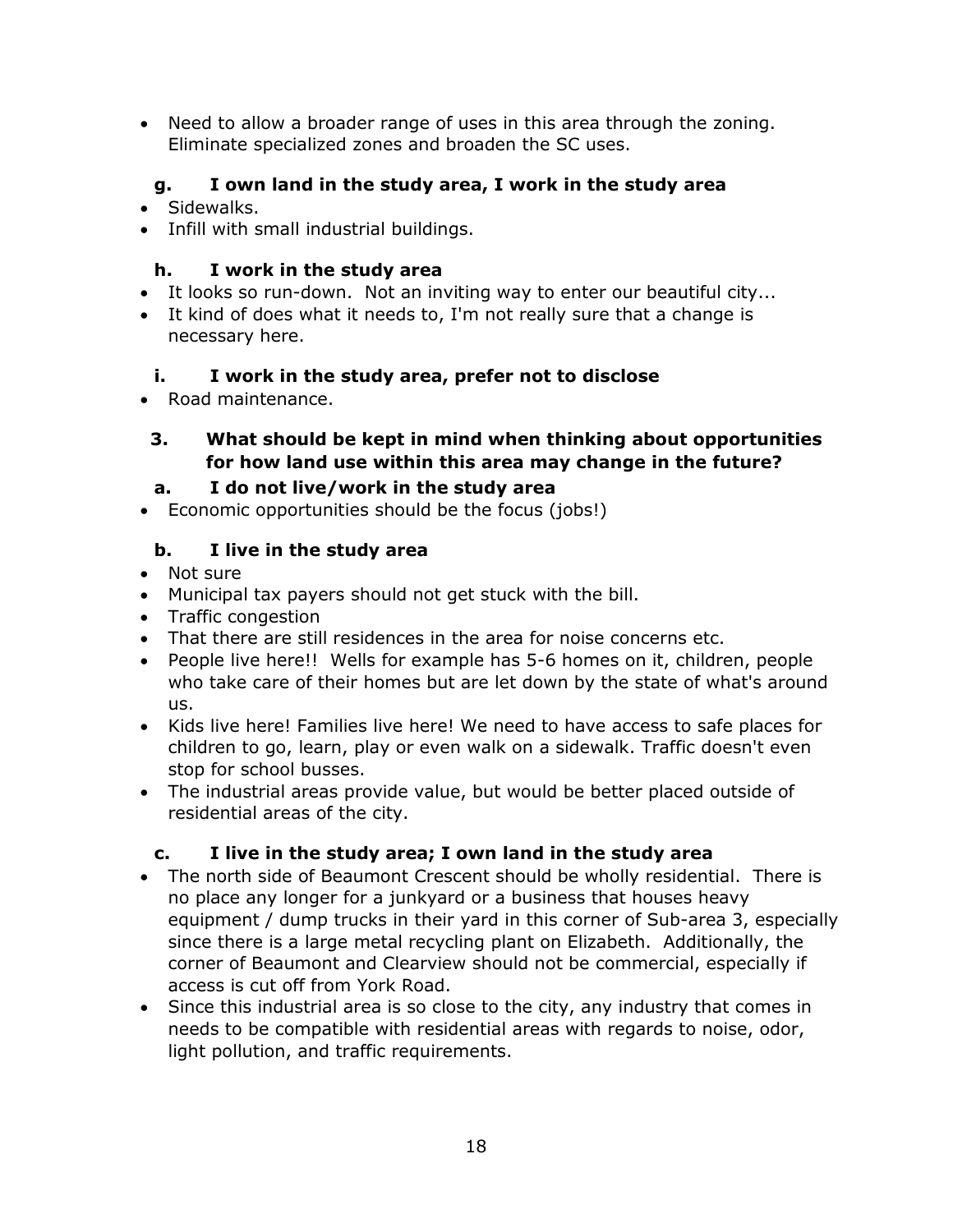Need to allow a broader range of uses in this area through the zoning. Eliminate specialized zones and broaden the SC uses.

# **g. I own land in the study area, I work in the study area**

- Sidewalks.
- Infill with small industrial buildings.

#### **h. I work in the study area**

- It looks so run-down. Not an inviting way to enter our beautiful city...
- It kind of does what it needs to, I'm not really sure that a change is necessary here.

#### **i. I work in the study area, prefer not to disclose**

• Road maintenance.

#### **3. What should be kept in mind when thinking about opportunities for how land use within this area may change in the future?**

#### **a. I do not live/work in the study area**

Economic opportunities should be the focus (jobs!)

## **b. I live in the study area**

- Not sure
- Municipal tax payers should not get stuck with the bill.
- Traffic congestion
- That there are still residences in the area for noise concerns etc.
- People live here!! Wells for example has 5-6 homes on it, children, people who take care of their homes but are let down by the state of what's around us.
- Kids live here! Families live here! We need to have access to safe places for children to go, learn, play or even walk on a sidewalk. Traffic doesn't even stop for school busses.
- The industrial areas provide value, but would be better placed outside of residential areas of the city.

#### **c. I live in the study area; I own land in the study area**

- The north side of Beaumont Crescent should be wholly residential. There is no place any longer for a junkyard or a business that houses heavy equipment / dump trucks in their yard in this corner of Sub-area 3, especially since there is a large metal recycling plant on Elizabeth. Additionally, the corner of Beaumont and Clearview should not be commercial, especially if access is cut off from York Road.
- Since this industrial area is so close to the city, any industry that comes in needs to be compatible with residential areas with regards to noise, odor, light pollution, and traffic requirements.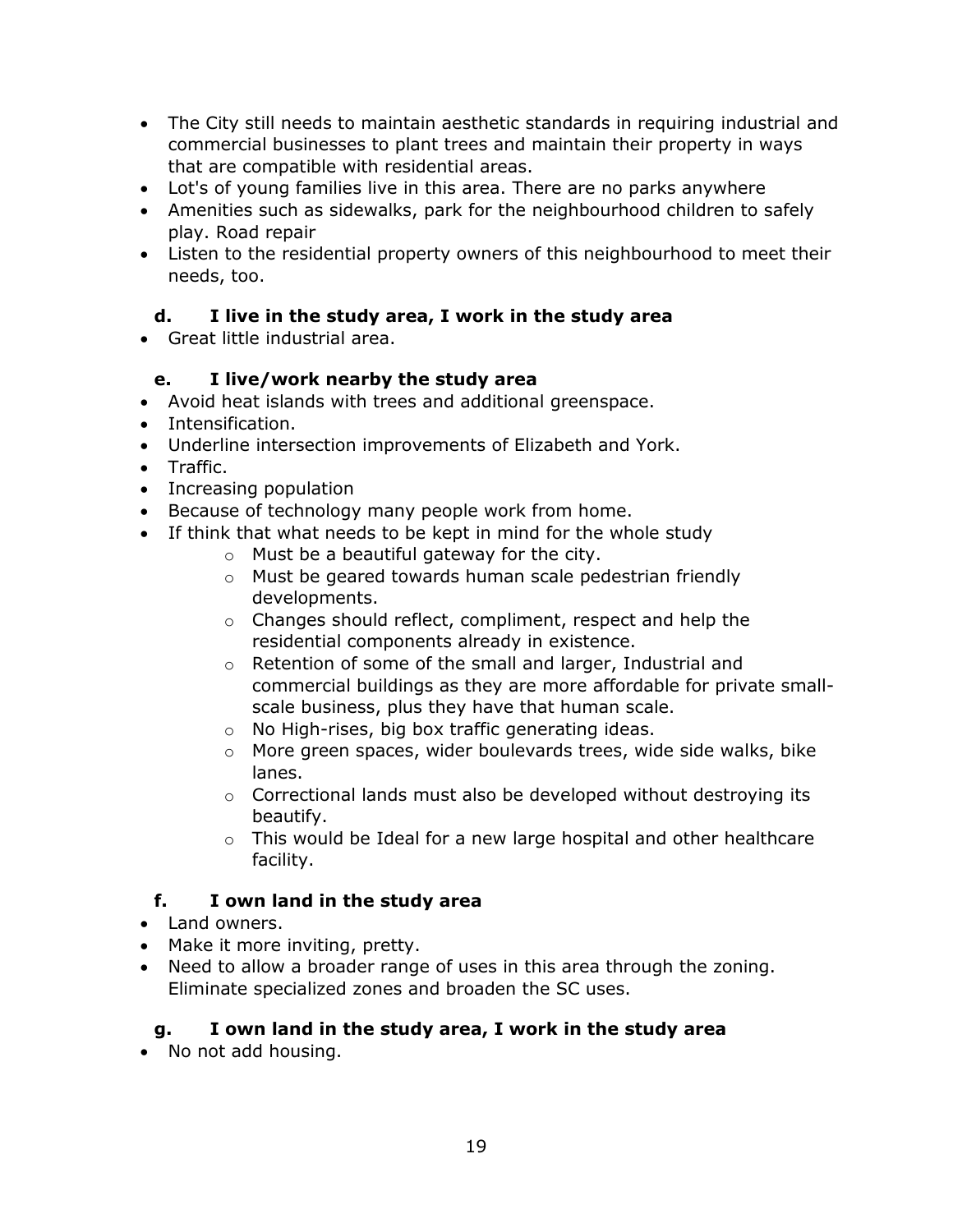- The City still needs to maintain aesthetic standards in requiring industrial and commercial businesses to plant trees and maintain their property in ways that are compatible with residential areas.
- Lot's of young families live in this area. There are no parks anywhere
- Amenities such as sidewalks, park for the neighbourhood children to safely play. Road repair
- Listen to the residential property owners of this neighbourhood to meet their needs, too.

# **d. I live in the study area, I work in the study area**

Great little industrial area.

## **e. I live/work nearby the study area**

- Avoid heat islands with trees and additional greenspace.
- Intensification.
- Underline intersection improvements of Elizabeth and York.
- Traffic.
- Increasing population
- Because of technology many people work from home.
- If think that what needs to be kept in mind for the whole study
	- $\circ$  Must be a beautiful gateway for the city.
		- o Must be geared towards human scale pedestrian friendly developments.
		- o Changes should reflect, compliment, respect and help the residential components already in existence.
		- o Retention of some of the small and larger, Industrial and commercial buildings as they are more affordable for private smallscale business, plus they have that human scale.
		- o No High-rises, big box traffic generating ideas.
		- o More green spaces, wider boulevards trees, wide side walks, bike lanes.
		- o Correctional lands must also be developed without destroying its beautify.
		- $\circ$  This would be Ideal for a new large hospital and other healthcare facility.

#### **f. I own land in the study area**

- Land owners.
- Make it more inviting, pretty.
- Need to allow a broader range of uses in this area through the zoning. Eliminate specialized zones and broaden the SC uses.

#### **g. I own land in the study area, I work in the study area**

• No not add housing.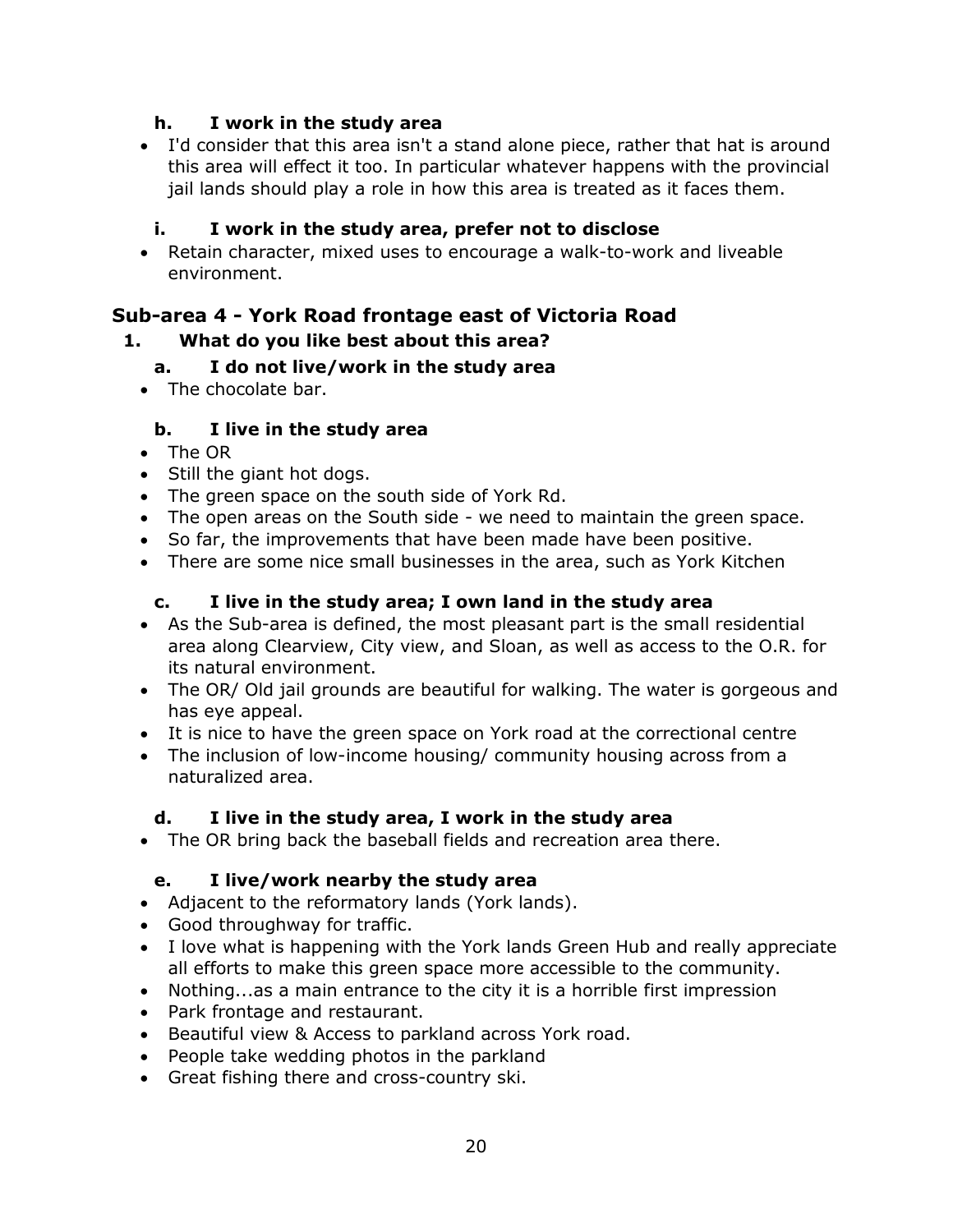#### **h. I work in the study area**

 I'd consider that this area isn't a stand alone piece, rather that hat is around this area will effect it too. In particular whatever happens with the provincial jail lands should play a role in how this area is treated as it faces them.

#### **i. I work in the study area, prefer not to disclose**

 Retain character, mixed uses to encourage a walk-to-work and liveable environment.

# **Sub-area 4 - York Road frontage east of Victoria Road**

#### **1. What do you like best about this area?**

#### **a. I do not live/work in the study area**

• The chocolate bar.

#### **b. I live in the study area**

- The OR
- Still the giant hot dogs.
- The green space on the south side of York Rd.
- The open areas on the South side we need to maintain the green space.
- So far, the improvements that have been made have been positive.
- There are some nice small businesses in the area, such as York Kitchen

#### **c. I live in the study area; I own land in the study area**

- As the Sub-area is defined, the most pleasant part is the small residential area along Clearview, City view, and Sloan, as well as access to the O.R. for its natural environment.
- The OR/ Old jail grounds are beautiful for walking. The water is gorgeous and has eye appeal.
- It is nice to have the green space on York road at the correctional centre
- The inclusion of low-income housing/ community housing across from a naturalized area.

#### **d. I live in the study area, I work in the study area**

The OR bring back the baseball fields and recreation area there.

#### **e. I live/work nearby the study area**

- Adjacent to the reformatory lands (York lands).
- Good throughway for traffic.
- I love what is happening with the York lands Green Hub and really appreciate all efforts to make this green space more accessible to the community.
- Nothing...as a main entrance to the city it is a horrible first impression
- Park frontage and restaurant.
- Beautiful view & Access to parkland across York road.
- People take wedding photos in the parkland
- Great fishing there and cross-country ski.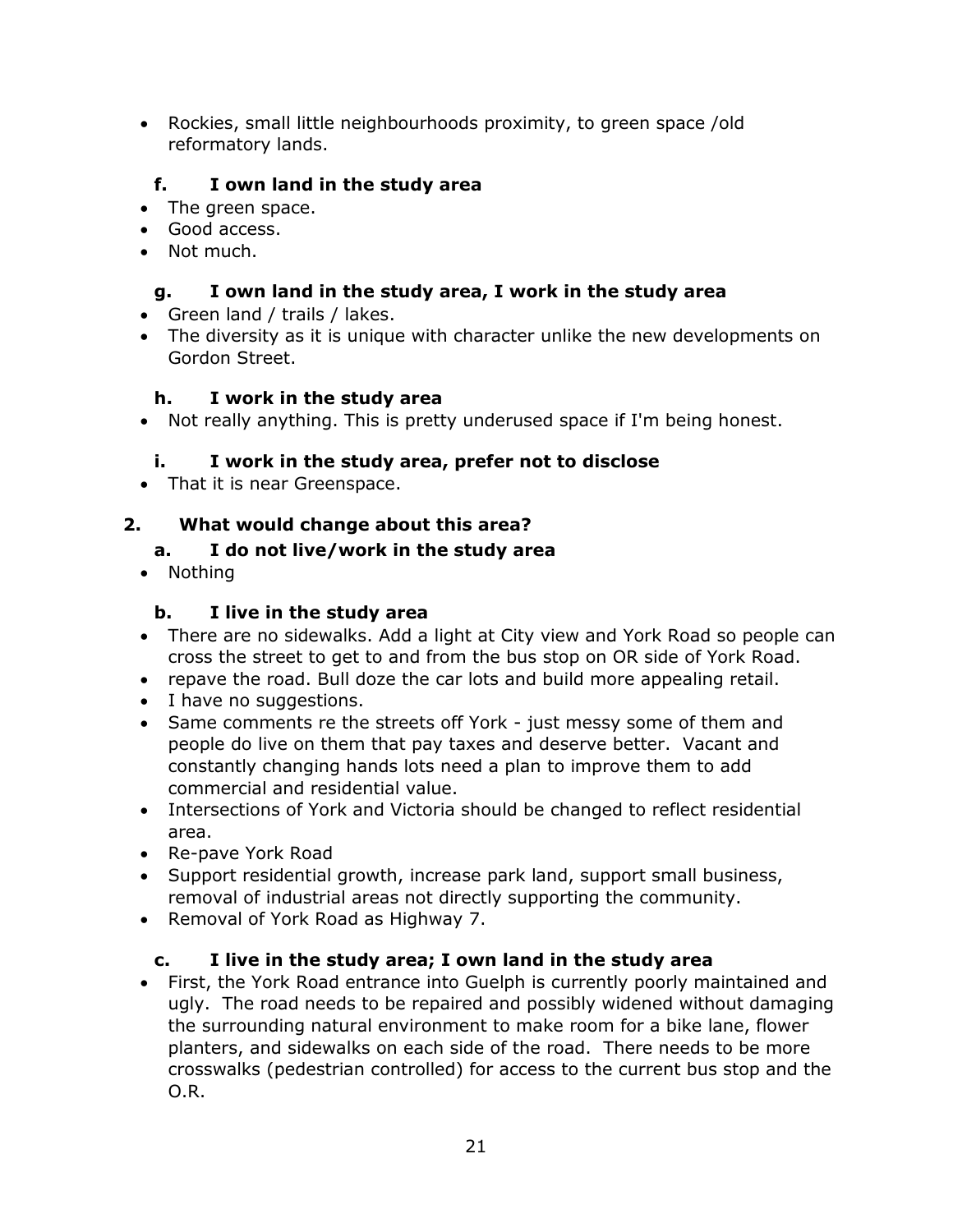Rockies, small little neighbourhoods proximity, to green space /old reformatory lands.

# **f. I own land in the study area**

- The green space.
- Good access.
- Not much.

#### **g. I own land in the study area, I work in the study area**

- Green land / trails / lakes.
- The diversity as it is unique with character unlike the new developments on Gordon Street.

#### **h. I work in the study area**

Not really anything. This is pretty underused space if I'm being honest.

#### **i. I work in the study area, prefer not to disclose**

• That it is near Greenspace.

## **2. What would change about this area?**

#### **a. I do not live/work in the study area**

• Nothing

## **b. I live in the study area**

- There are no sidewalks. Add a light at City view and York Road so people can cross the street to get to and from the bus stop on OR side of York Road.
- repave the road. Bull doze the car lots and build more appealing retail.
- I have no suggestions.
- Same comments re the streets off York just messy some of them and people do live on them that pay taxes and deserve better. Vacant and constantly changing hands lots need a plan to improve them to add commercial and residential value.
- Intersections of York and Victoria should be changed to reflect residential area.
- Re-pave York Road
- Support residential growth, increase park land, support small business, removal of industrial areas not directly supporting the community.
- Removal of York Road as Highway 7.

#### **c. I live in the study area; I own land in the study area**

 First, the York Road entrance into Guelph is currently poorly maintained and ugly. The road needs to be repaired and possibly widened without damaging the surrounding natural environment to make room for a bike lane, flower planters, and sidewalks on each side of the road. There needs to be more crosswalks (pedestrian controlled) for access to the current bus stop and the O.R.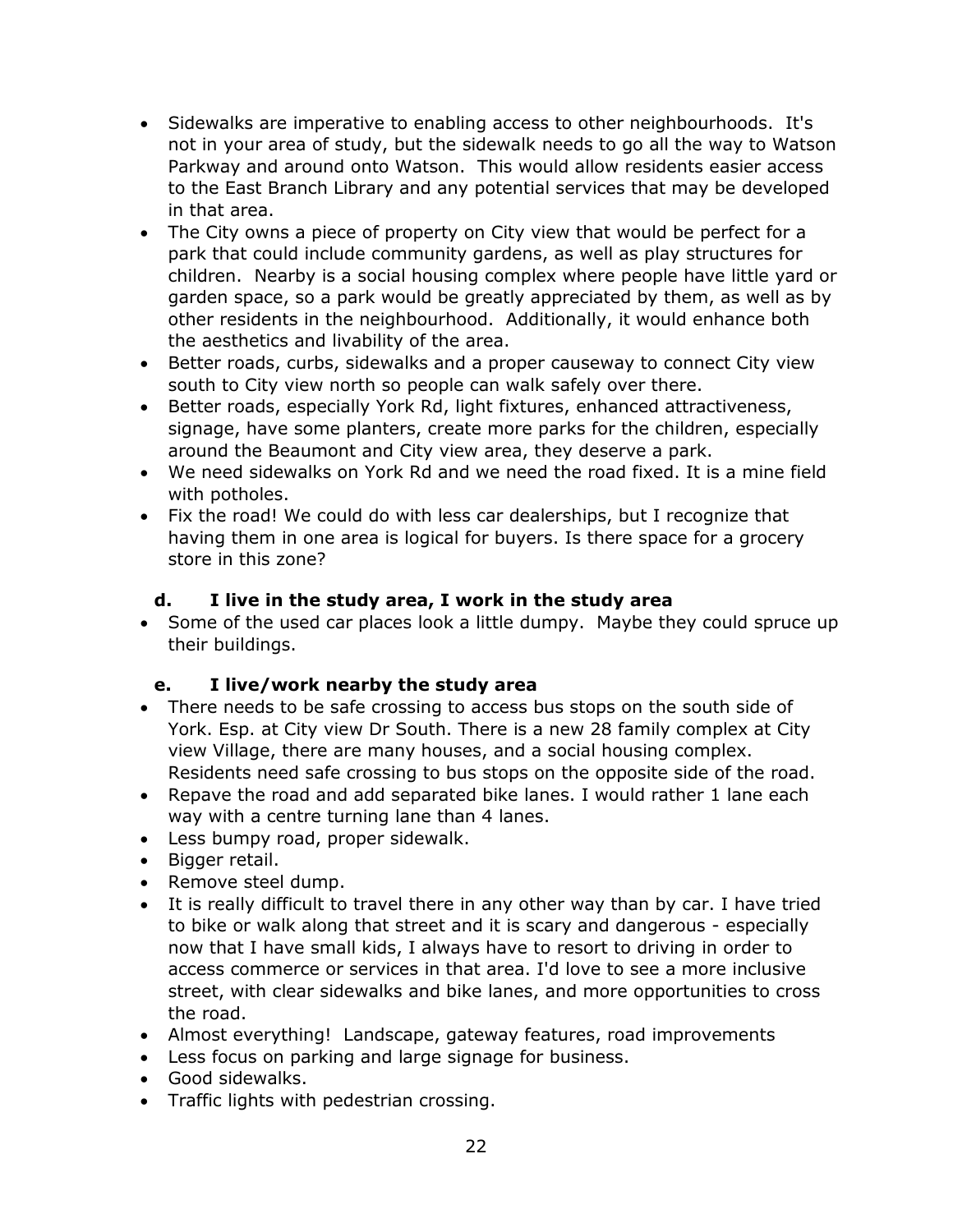- Sidewalks are imperative to enabling access to other neighbourhoods. It's not in your area of study, but the sidewalk needs to go all the way to Watson Parkway and around onto Watson. This would allow residents easier access to the East Branch Library and any potential services that may be developed in that area.
- The City owns a piece of property on City view that would be perfect for a park that could include community gardens, as well as play structures for children. Nearby is a social housing complex where people have little yard or garden space, so a park would be greatly appreciated by them, as well as by other residents in the neighbourhood. Additionally, it would enhance both the aesthetics and livability of the area.
- Better roads, curbs, sidewalks and a proper causeway to connect City view south to City view north so people can walk safely over there.
- Better roads, especially York Rd, light fixtures, enhanced attractiveness, signage, have some planters, create more parks for the children, especially around the Beaumont and City view area, they deserve a park.
- We need sidewalks on York Rd and we need the road fixed. It is a mine field with potholes.
- Fix the road! We could do with less car dealerships, but I recognize that having them in one area is logical for buyers. Is there space for a grocery store in this zone?

## **d. I live in the study area, I work in the study area**

• Some of the used car places look a little dumpy. Maybe they could spruce up their buildings.

# **e. I live/work nearby the study area**

- There needs to be safe crossing to access bus stops on the south side of York. Esp. at City view Dr South. There is a new 28 family complex at City view Village, there are many houses, and a social housing complex. Residents need safe crossing to bus stops on the opposite side of the road.
- Repave the road and add separated bike lanes. I would rather 1 lane each way with a centre turning lane than 4 lanes.
- Less bumpy road, proper sidewalk.
- Bigger retail.
- Remove steel dump.
- It is really difficult to travel there in any other way than by car. I have tried to bike or walk along that street and it is scary and dangerous - especially now that I have small kids, I always have to resort to driving in order to access commerce or services in that area. I'd love to see a more inclusive street, with clear sidewalks and bike lanes, and more opportunities to cross the road.
- Almost everything! Landscape, gateway features, road improvements
- Less focus on parking and large signage for business.
- Good sidewalks.
- Traffic lights with pedestrian crossing.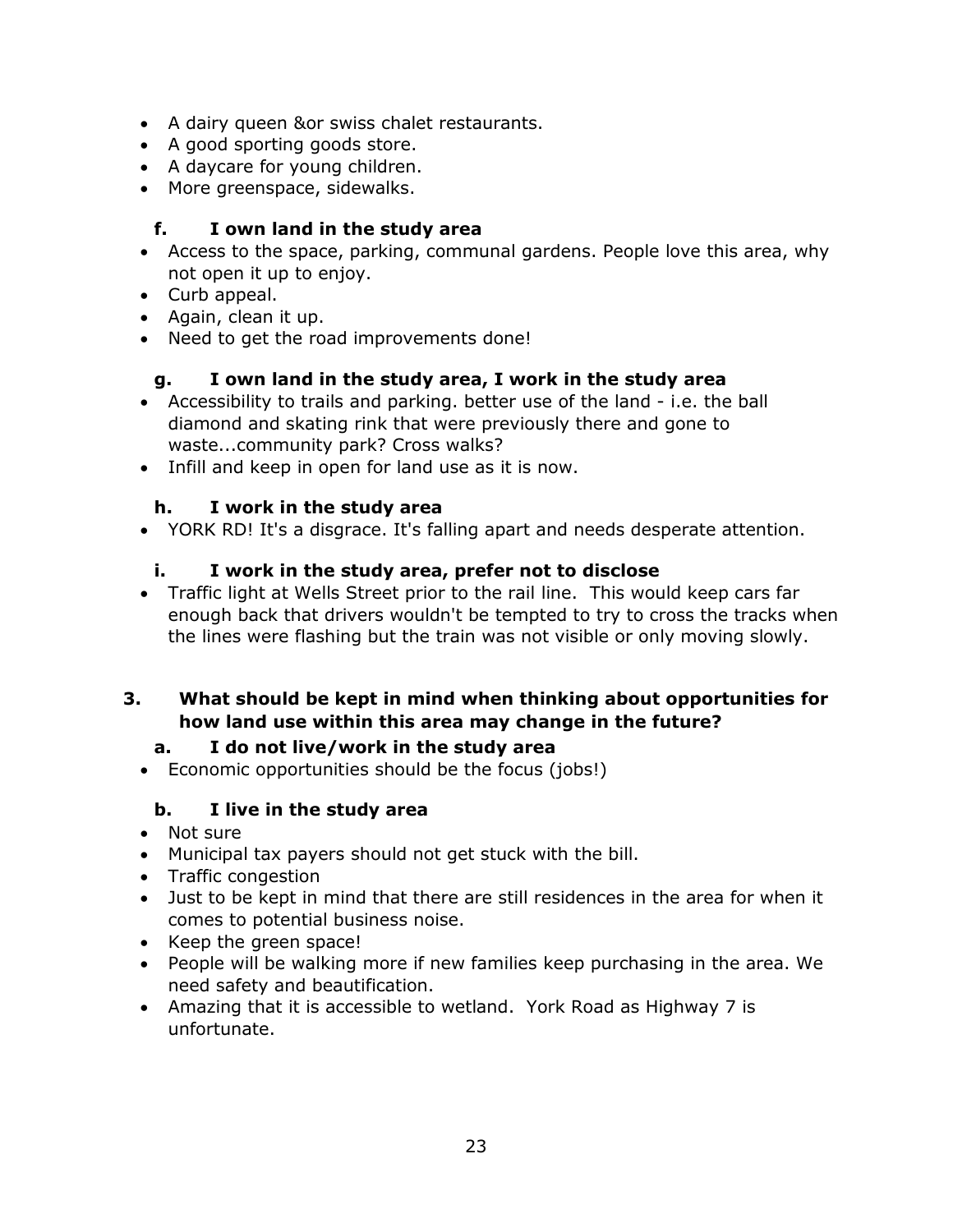- A dairy queen &or swiss chalet restaurants.
- A good sporting goods store.
- A daycare for young children.
- More greenspace, sidewalks.

#### **f. I own land in the study area**

- Access to the space, parking, communal gardens. People love this area, why not open it up to enjoy.
- Curb appeal.
- Again, clean it up.
- Need to get the road improvements done!

#### **g. I own land in the study area, I work in the study area**

- Accessibility to trails and parking. better use of the land i.e. the ball diamond and skating rink that were previously there and gone to waste...community park? Cross walks?
- Infill and keep in open for land use as it is now.

#### **h. I work in the study area**

YORK RD! It's a disgrace. It's falling apart and needs desperate attention.

#### **i. I work in the study area, prefer not to disclose**

 Traffic light at Wells Street prior to the rail line. This would keep cars far enough back that drivers wouldn't be tempted to try to cross the tracks when the lines were flashing but the train was not visible or only moving slowly.

#### **3. What should be kept in mind when thinking about opportunities for how land use within this area may change in the future?**

#### **a. I do not live/work in the study area**

Economic opportunities should be the focus (jobs!)

#### **b. I live in the study area**

- Not sure
- Municipal tax payers should not get stuck with the bill.
- Traffic congestion
- Just to be kept in mind that there are still residences in the area for when it comes to potential business noise.
- Keep the green space!
- People will be walking more if new families keep purchasing in the area. We need safety and beautification.
- Amazing that it is accessible to wetland. York Road as Highway 7 is unfortunate.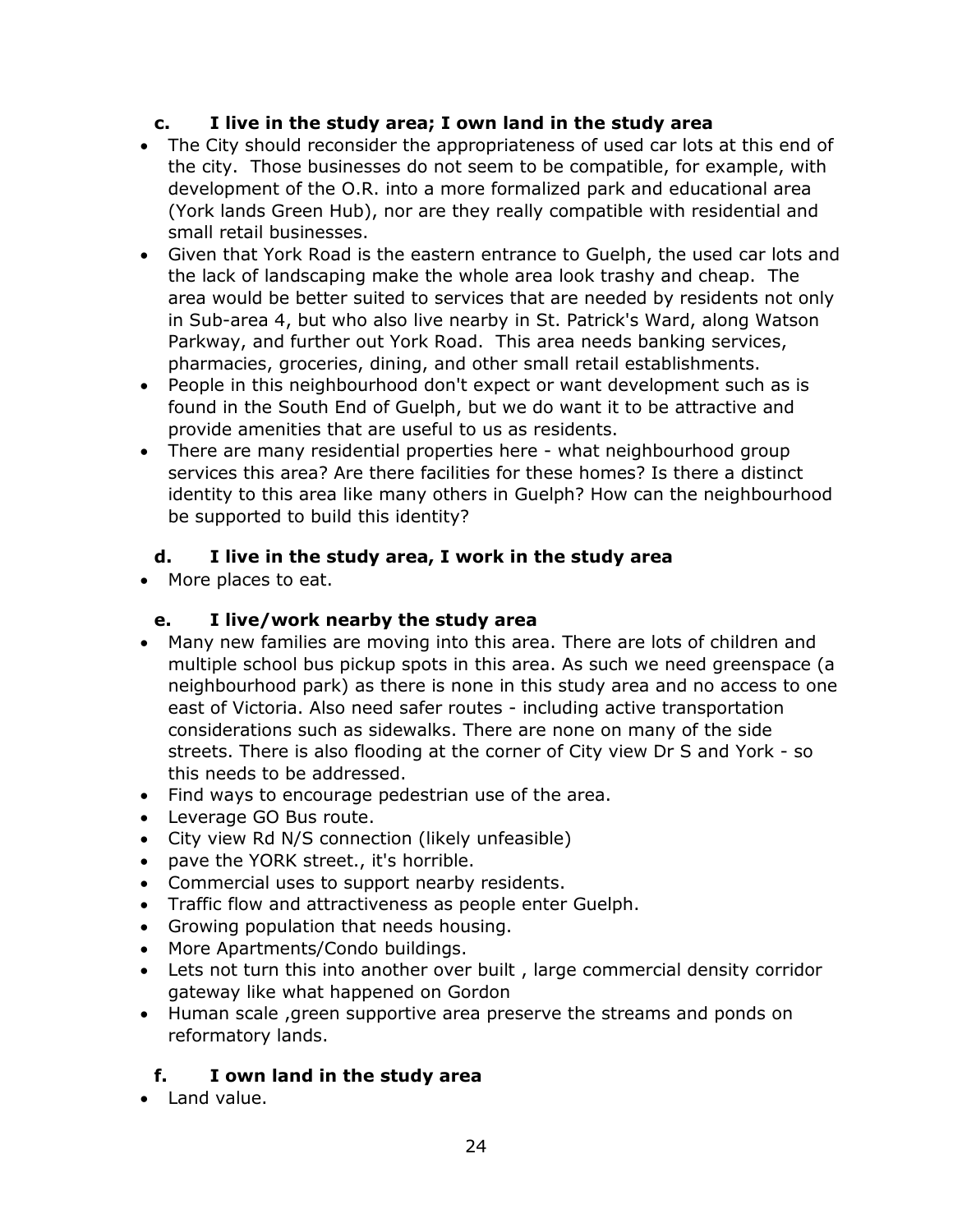#### **c. I live in the study area; I own land in the study area**

- The City should reconsider the appropriateness of used car lots at this end of the city. Those businesses do not seem to be compatible, for example, with development of the O.R. into a more formalized park and educational area (York lands Green Hub), nor are they really compatible with residential and small retail businesses.
- Given that York Road is the eastern entrance to Guelph, the used car lots and the lack of landscaping make the whole area look trashy and cheap. The area would be better suited to services that are needed by residents not only in Sub-area 4, but who also live nearby in St. Patrick's Ward, along Watson Parkway, and further out York Road. This area needs banking services, pharmacies, groceries, dining, and other small retail establishments.
- People in this neighbourhood don't expect or want development such as is found in the South End of Guelph, but we do want it to be attractive and provide amenities that are useful to us as residents.
- There are many residential properties here what neighbourhood group services this area? Are there facilities for these homes? Is there a distinct identity to this area like many others in Guelph? How can the neighbourhood be supported to build this identity?

## **d. I live in the study area, I work in the study area**

• More places to eat.

#### **e. I live/work nearby the study area**

- Many new families are moving into this area. There are lots of children and multiple school bus pickup spots in this area. As such we need greenspace (a neighbourhood park) as there is none in this study area and no access to one east of Victoria. Also need safer routes - including active transportation considerations such as sidewalks. There are none on many of the side streets. There is also flooding at the corner of City view Dr S and York - so this needs to be addressed.
- Find ways to encourage pedestrian use of the area.
- Leverage GO Bus route.
- City view Rd N/S connection (likely unfeasible)
- pave the YORK street., it's horrible.
- Commercial uses to support nearby residents.
- Traffic flow and attractiveness as people enter Guelph.
- Growing population that needs housing.
- More Apartments/Condo buildings.
- Lets not turn this into another over built , large commercial density corridor gateway like what happened on Gordon
- Human scale ,green supportive area preserve the streams and ponds on reformatory lands.

#### **f. I own land in the study area**

• Land value.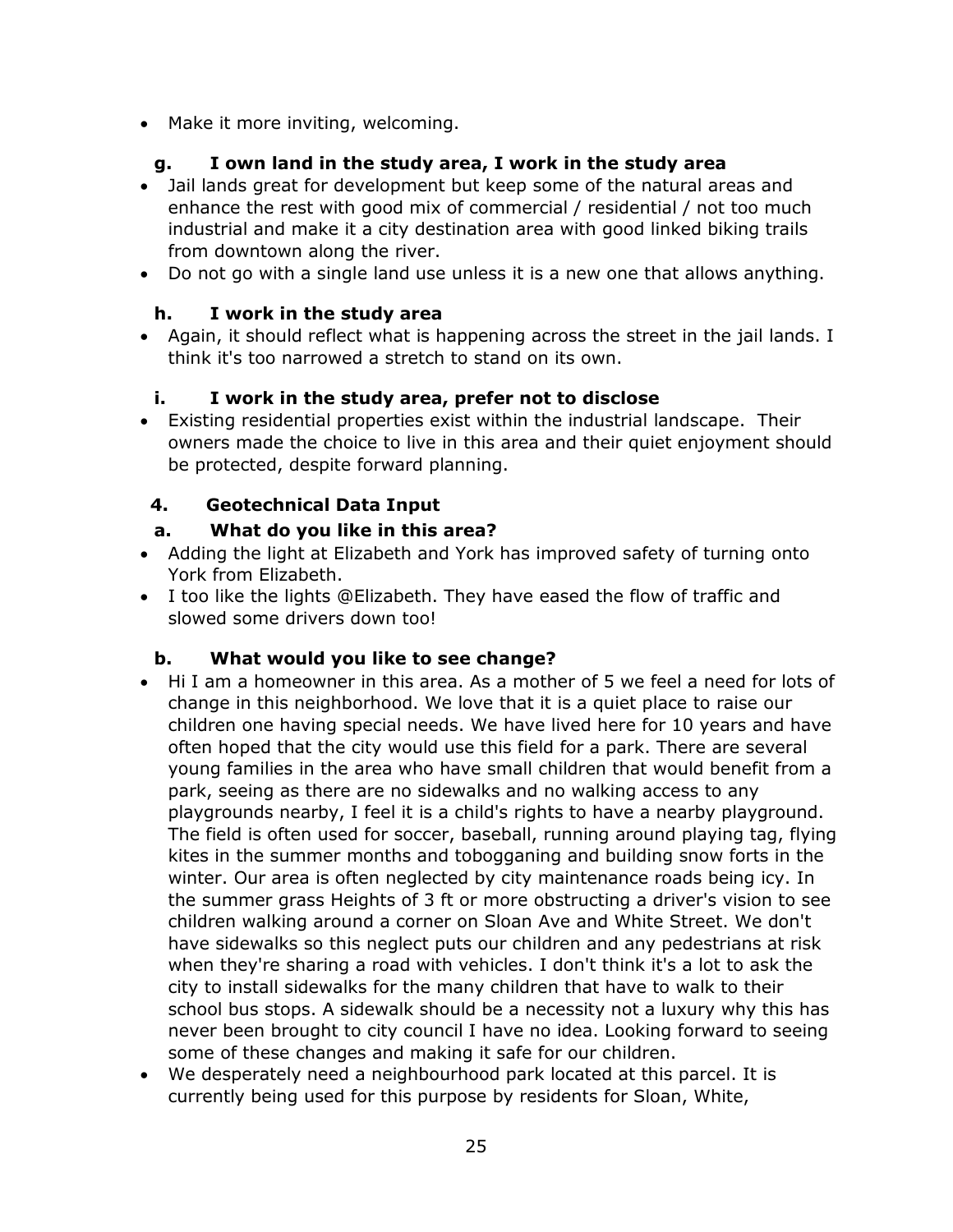• Make it more inviting, welcoming.

# **g. I own land in the study area, I work in the study area**

- Jail lands great for development but keep some of the natural areas and enhance the rest with good mix of commercial / residential / not too much industrial and make it a city destination area with good linked biking trails from downtown along the river.
- Do not go with a single land use unless it is a new one that allows anything.

## **h. I work in the study area**

 Again, it should reflect what is happening across the street in the jail lands. I think it's too narrowed a stretch to stand on its own.

## **i. I work in the study area, prefer not to disclose**

 Existing residential properties exist within the industrial landscape. Their owners made the choice to live in this area and their quiet enjoyment should be protected, despite forward planning.

# **4. Geotechnical Data Input**

## **a. What do you like in this area?**

- Adding the light at Elizabeth and York has improved safety of turning onto York from Elizabeth.
- I too like the lights @Elizabeth. They have eased the flow of traffic and slowed some drivers down too!

# **b. What would you like to see change?**

- Hi I am a homeowner in this area. As a mother of 5 we feel a need for lots of change in this neighborhood. We love that it is a quiet place to raise our children one having special needs. We have lived here for 10 years and have often hoped that the city would use this field for a park. There are several young families in the area who have small children that would benefit from a park, seeing as there are no sidewalks and no walking access to any playgrounds nearby, I feel it is a child's rights to have a nearby playground. The field is often used for soccer, baseball, running around playing tag, flying kites in the summer months and tobogganing and building snow forts in the winter. Our area is often neglected by city maintenance roads being icy. In the summer grass Heights of 3 ft or more obstructing a driver's vision to see children walking around a corner on Sloan Ave and White Street. We don't have sidewalks so this neglect puts our children and any pedestrians at risk when they're sharing a road with vehicles. I don't think it's a lot to ask the city to install sidewalks for the many children that have to walk to their school bus stops. A sidewalk should be a necessity not a luxury why this has never been brought to city council I have no idea. Looking forward to seeing some of these changes and making it safe for our children.
- We desperately need a neighbourhood park located at this parcel. It is currently being used for this purpose by residents for Sloan, White,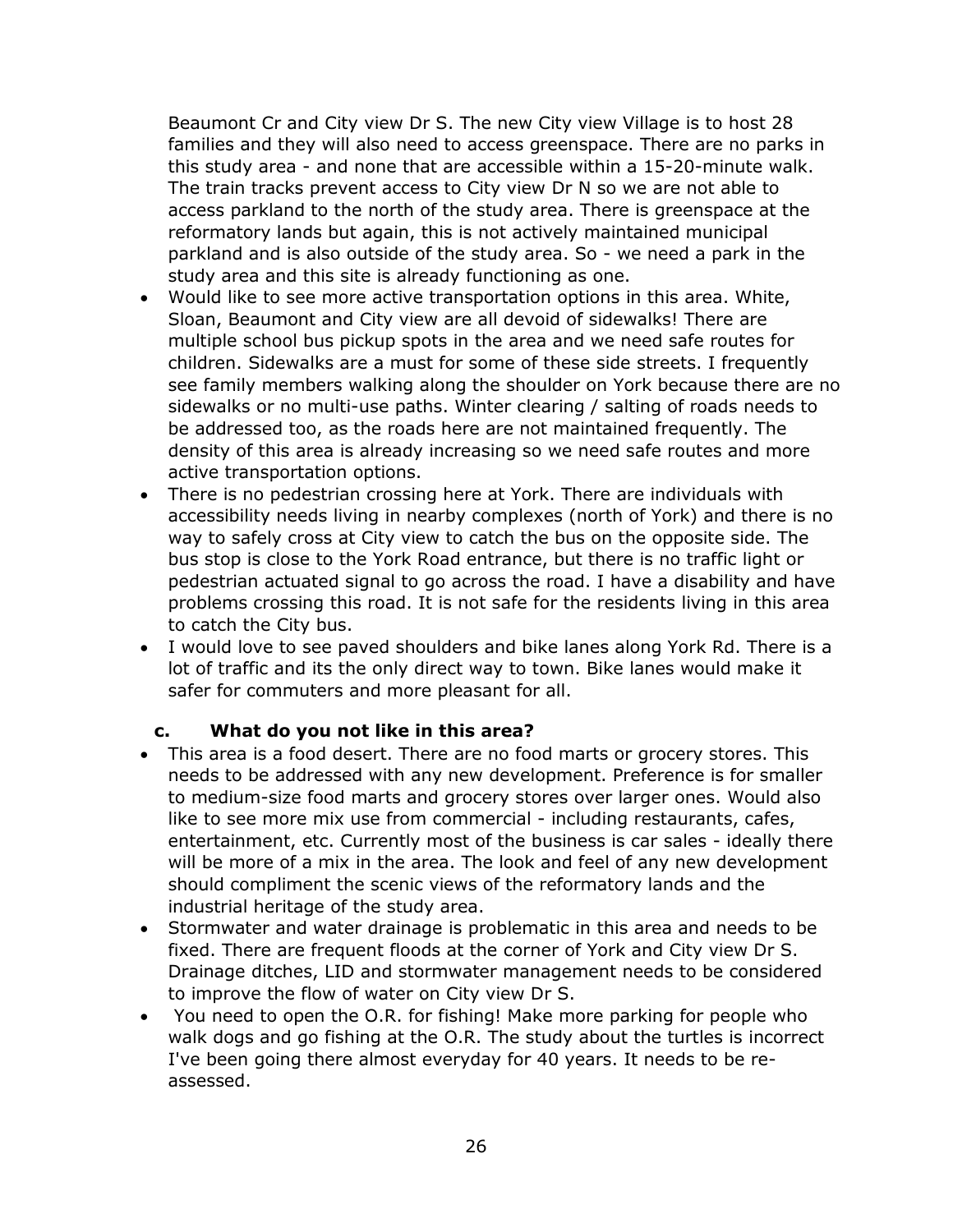Beaumont Cr and City view Dr S. The new City view Village is to host 28 families and they will also need to access greenspace. There are no parks in this study area - and none that are accessible within a 15-20-minute walk. The train tracks prevent access to City view Dr N so we are not able to access parkland to the north of the study area. There is greenspace at the reformatory lands but again, this is not actively maintained municipal parkland and is also outside of the study area. So - we need a park in the study area and this site is already functioning as one.

- Would like to see more active transportation options in this area. White, Sloan, Beaumont and City view are all devoid of sidewalks! There are multiple school bus pickup spots in the area and we need safe routes for children. Sidewalks are a must for some of these side streets. I frequently see family members walking along the shoulder on York because there are no sidewalks or no multi-use paths. Winter clearing / salting of roads needs to be addressed too, as the roads here are not maintained frequently. The density of this area is already increasing so we need safe routes and more active transportation options.
- There is no pedestrian crossing here at York. There are individuals with accessibility needs living in nearby complexes (north of York) and there is no way to safely cross at City view to catch the bus on the opposite side. The bus stop is close to the York Road entrance, but there is no traffic light or pedestrian actuated signal to go across the road. I have a disability and have problems crossing this road. It is not safe for the residents living in this area to catch the City bus.
- I would love to see paved shoulders and bike lanes along York Rd. There is a lot of traffic and its the only direct way to town. Bike lanes would make it safer for commuters and more pleasant for all.

#### **c. What do you not like in this area?**

- This area is a food desert. There are no food marts or grocery stores. This needs to be addressed with any new development. Preference is for smaller to medium-size food marts and grocery stores over larger ones. Would also like to see more mix use from commercial - including restaurants, cafes, entertainment, etc. Currently most of the business is car sales - ideally there will be more of a mix in the area. The look and feel of any new development should compliment the scenic views of the reformatory lands and the industrial heritage of the study area.
- Stormwater and water drainage is problematic in this area and needs to be fixed. There are frequent floods at the corner of York and City view Dr S. Drainage ditches, LID and stormwater management needs to be considered to improve the flow of water on City view Dr S.
- You need to open the O.R. for fishing! Make more parking for people who walk dogs and go fishing at the O.R. The study about the turtles is incorrect I've been going there almost everyday for 40 years. It needs to be reassessed.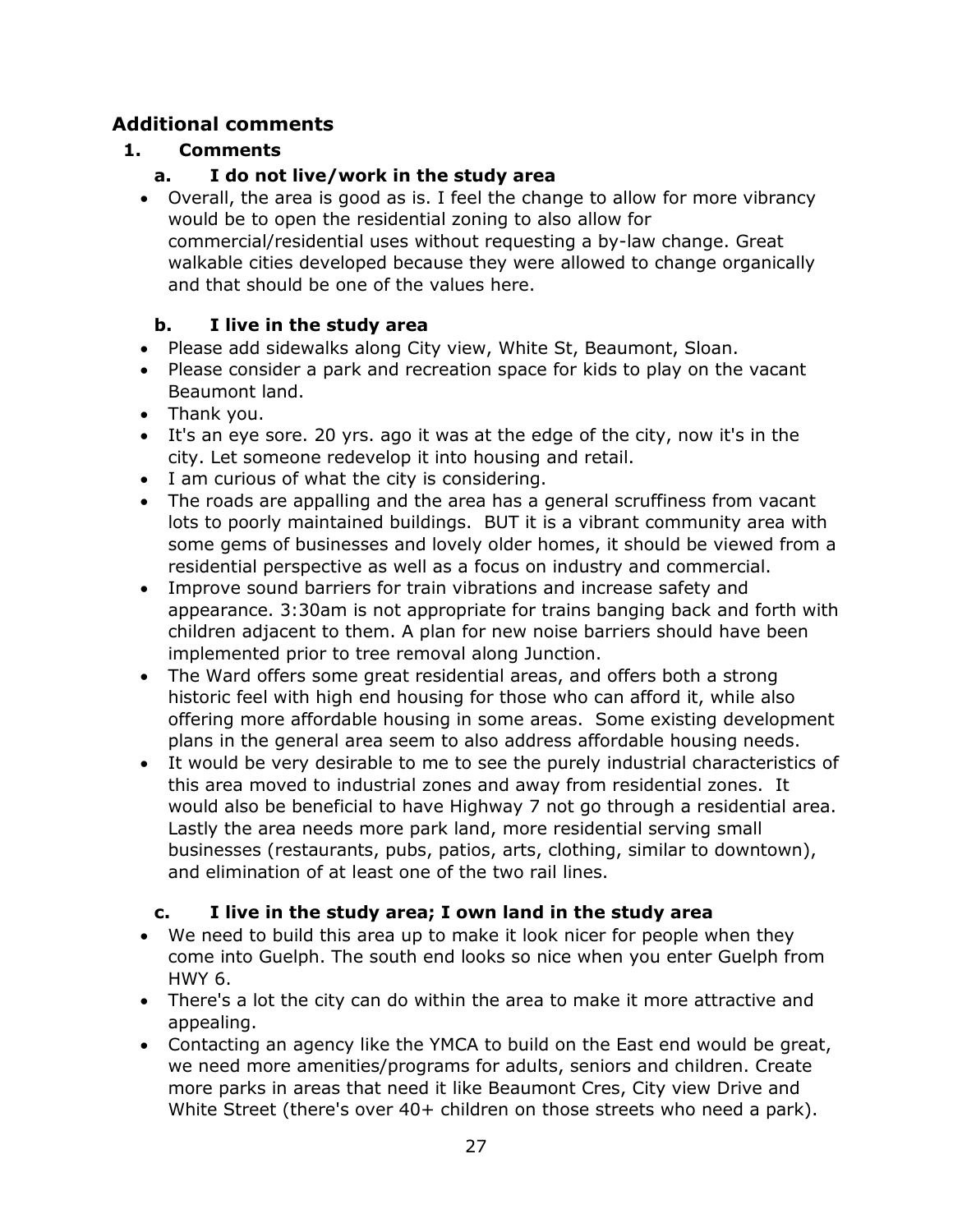# **Additional comments**

# **1. Comments**

# **a. I do not live/work in the study area**

 Overall, the area is good as is. I feel the change to allow for more vibrancy would be to open the residential zoning to also allow for commercial/residential uses without requesting a by-law change. Great walkable cities developed because they were allowed to change organically and that should be one of the values here.

# **b. I live in the study area**

- Please add sidewalks along City view, White St, Beaumont, Sloan.
- Please consider a park and recreation space for kids to play on the vacant Beaumont land.
- Thank you.
- It's an eye sore. 20 yrs. ago it was at the edge of the city, now it's in the city. Let someone redevelop it into housing and retail.
- I am curious of what the city is considering.
- The roads are appalling and the area has a general scruffiness from vacant lots to poorly maintained buildings. BUT it is a vibrant community area with some gems of businesses and lovely older homes, it should be viewed from a residential perspective as well as a focus on industry and commercial.
- Improve sound barriers for train vibrations and increase safety and appearance. 3:30am is not appropriate for trains banging back and forth with children adjacent to them. A plan for new noise barriers should have been implemented prior to tree removal along Junction.
- The Ward offers some great residential areas, and offers both a strong historic feel with high end housing for those who can afford it, while also offering more affordable housing in some areas. Some existing development plans in the general area seem to also address affordable housing needs.
- It would be very desirable to me to see the purely industrial characteristics of this area moved to industrial zones and away from residential zones. It would also be beneficial to have Highway 7 not go through a residential area. Lastly the area needs more park land, more residential serving small businesses (restaurants, pubs, patios, arts, clothing, similar to downtown), and elimination of at least one of the two rail lines.

# **c. I live in the study area; I own land in the study area**

- We need to build this area up to make it look nicer for people when they come into Guelph. The south end looks so nice when you enter Guelph from HWY 6.
- There's a lot the city can do within the area to make it more attractive and appealing.
- Contacting an agency like the YMCA to build on the East end would be great, we need more amenities/programs for adults, seniors and children. Create more parks in areas that need it like Beaumont Cres, City view Drive and White Street (there's over 40+ children on those streets who need a park).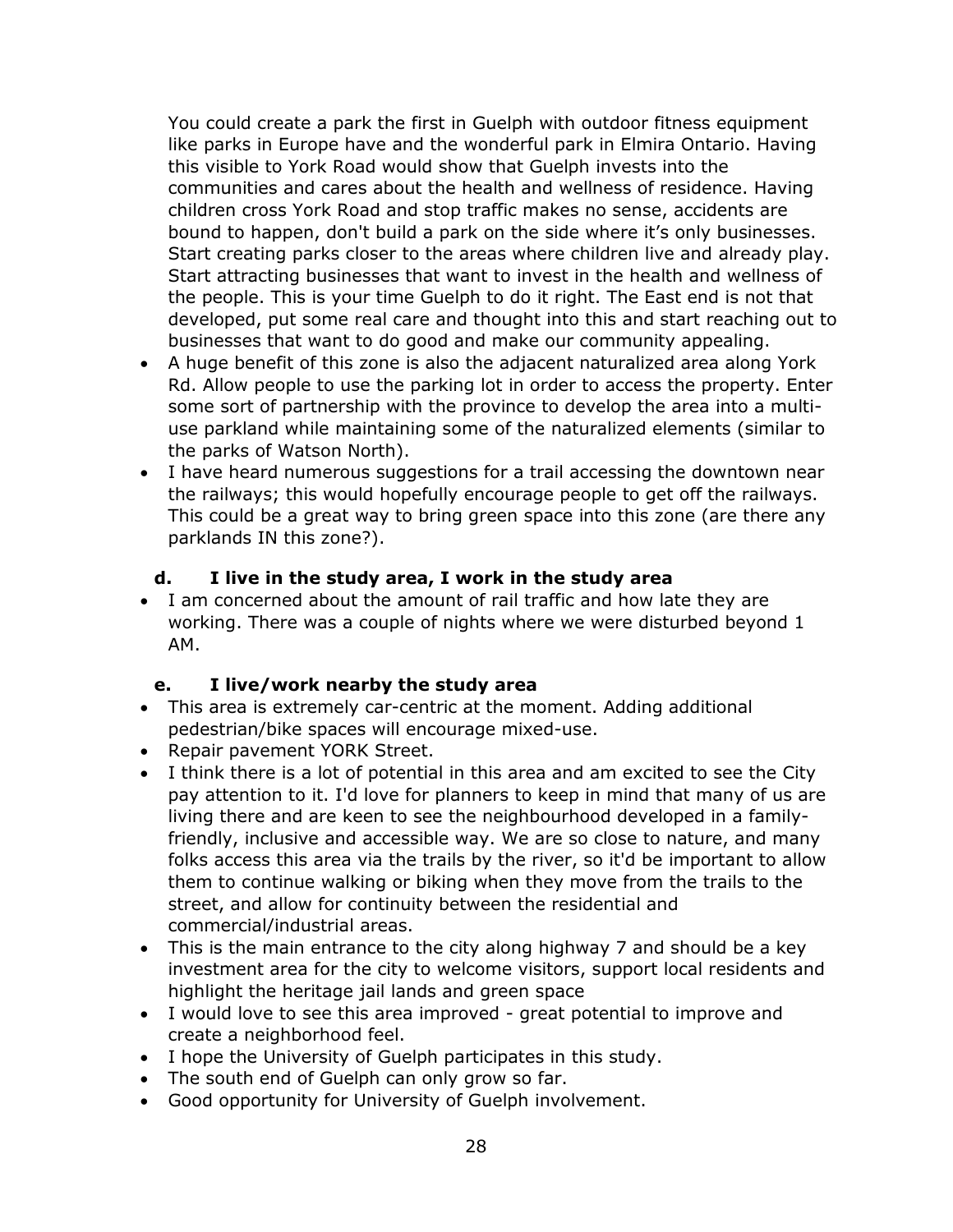You could create a park the first in Guelph with outdoor fitness equipment like parks in Europe have and the wonderful park in Elmira Ontario. Having this visible to York Road would show that Guelph invests into the communities and cares about the health and wellness of residence. Having children cross York Road and stop traffic makes no sense, accidents are bound to happen, don't build a park on the side where it's only businesses. Start creating parks closer to the areas where children live and already play. Start attracting businesses that want to invest in the health and wellness of the people. This is your time Guelph to do it right. The East end is not that developed, put some real care and thought into this and start reaching out to businesses that want to do good and make our community appealing.

- A huge benefit of this zone is also the adjacent naturalized area along York Rd. Allow people to use the parking lot in order to access the property. Enter some sort of partnership with the province to develop the area into a multiuse parkland while maintaining some of the naturalized elements (similar to the parks of Watson North).
- I have heard numerous suggestions for a trail accessing the downtown near the railways; this would hopefully encourage people to get off the railways. This could be a great way to bring green space into this zone (are there any parklands IN this zone?).

#### **d. I live in the study area, I work in the study area**

 I am concerned about the amount of rail traffic and how late they are working. There was a couple of nights where we were disturbed beyond 1 AM.

#### **e. I live/work nearby the study area**

- This area is extremely car-centric at the moment. Adding additional pedestrian/bike spaces will encourage mixed-use.
- Repair pavement YORK Street.
- I think there is a lot of potential in this area and am excited to see the City pay attention to it. I'd love for planners to keep in mind that many of us are living there and are keen to see the neighbourhood developed in a familyfriendly, inclusive and accessible way. We are so close to nature, and many folks access this area via the trails by the river, so it'd be important to allow them to continue walking or biking when they move from the trails to the street, and allow for continuity between the residential and commercial/industrial areas.
- This is the main entrance to the city along highway 7 and should be a key investment area for the city to welcome visitors, support local residents and highlight the heritage jail lands and green space
- I would love to see this area improved great potential to improve and create a neighborhood feel.
- I hope the University of Guelph participates in this study.
- The south end of Guelph can only grow so far.
- Good opportunity for University of Guelph involvement.